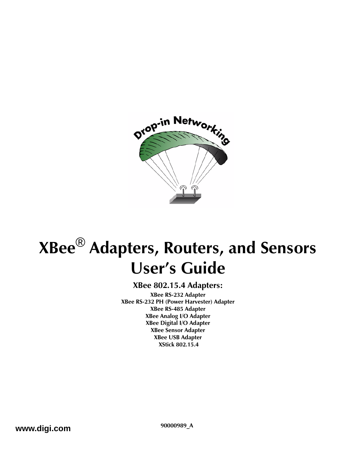

# **XBee**® **Adapters, Routers, and Sensors User's Guide**

#### **XBee 802.15.4 Adapters:**

**XBee RS-232 Adapter XBee RS-232 PH (Power Harvester) Adapter XBee RS-485 Adapter XBee Analog I/O Adapter XBee Digital I/O Adapter XBee Sensor Adapter XBee USB Adapter XStick 802.15.4**

**www.digi.com 90000989\_A**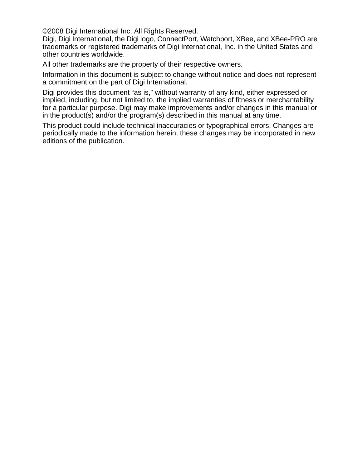©2008 Digi International Inc. All Rights Reserved.

Digi, Digi International, the Digi logo, ConnectPort, Watchport, XBee, and XBee-PRO are trademarks or registered trademarks of Digi International, Inc. in the United States and other countries worldwide.

All other trademarks are the property of their respective owners.

Information in this document is subject to change without notice and does not represent a commitment on the part of Digi International.

Digi provides this document "as is," without warranty of any kind, either expressed or implied, including, but not limited to, the implied warranties of fitness or merchantability for a particular purpose. Digi may make improvements and/or changes in this manual or in the product(s) and/or the program(s) described in this manual at any time.

This product could include technical inaccuracies or typographical errors. Changes are periodically made to the information herein; these changes may be incorporated in new editions of the publication.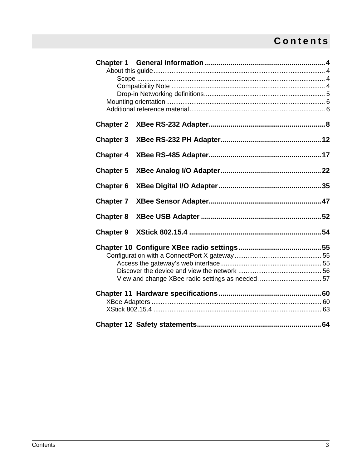## **Contents**

| <b>Chapter 2</b> |  |  |  |  |
|------------------|--|--|--|--|
| <b>Chapter 3</b> |  |  |  |  |
| <b>Chapter 4</b> |  |  |  |  |
| <b>Chapter 5</b> |  |  |  |  |
| <b>Chapter 6</b> |  |  |  |  |
| <b>Chapter 7</b> |  |  |  |  |
| <b>Chapter 8</b> |  |  |  |  |
| <b>Chapter 9</b> |  |  |  |  |
|                  |  |  |  |  |
|                  |  |  |  |  |
|                  |  |  |  |  |
|                  |  |  |  |  |
|                  |  |  |  |  |
|                  |  |  |  |  |
|                  |  |  |  |  |
|                  |  |  |  |  |
|                  |  |  |  |  |
|                  |  |  |  |  |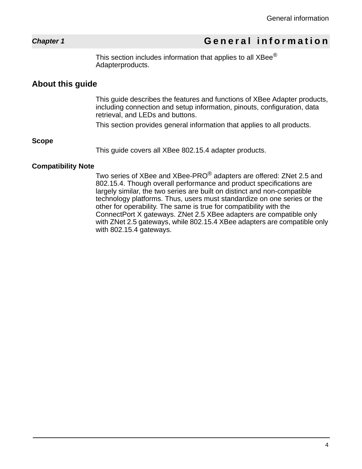## *Chapter 1* **General information**

<span id="page-3-0"></span>This section includes information that applies to all XBee<sup>®</sup> Adapterproducts.

### <span id="page-3-1"></span>**About this guide**

This guide describes the features and functions of XBee Adapter products, including connection and setup information, pinouts, configuration, data retrieval, and LEDs and buttons.

This section provides general information that applies to all products.

#### <span id="page-3-2"></span>**Scope**

This guide covers all XBee 802.15.4 adapter products.

#### <span id="page-3-3"></span>**Compatibility Note**

Two series of XBee and XBee-PRO<sup>®</sup> adapters are offered: ZNet 2.5 and 802.15.4. Though overall performance and product specifications are largely similar, the two series are built on distinct and non-compatible technology platforms. Thus, users must standardize on one series or the other for operability. The same is true for compatibility with the ConnectPort X gateways. ZNet 2.5 XBee adapters are compatible only with ZNet 2.5 gateways, while 802.15.4 XBee adapters are compatible only with 802.15.4 gateways.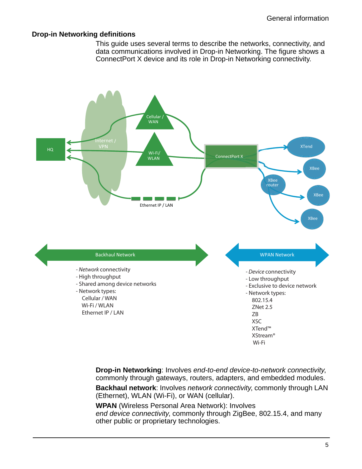#### <span id="page-4-0"></span>**Drop-in Networking definitions**

This guide uses several terms to describe the networks, connectivity, and data communications involved in Drop-in Networking. The figure shows a ConnectPort X device and its role in Drop-in Networking connectivity.



**Drop-in Networking**: Involves *end-to-end device-to-network connectivity*, commonly through gateways, routers, adapters, and embedded modules.

**Backhaul network**: Involves *network connectivity*, commonly through LAN (Ethernet), WLAN (Wi-Fi), or WAN (cellular).

**WPAN** (Wireless Personal Area Network): Involves *end device connectivity*, commonly through ZigBee, 802.15.4, and many other public or proprietary technologies.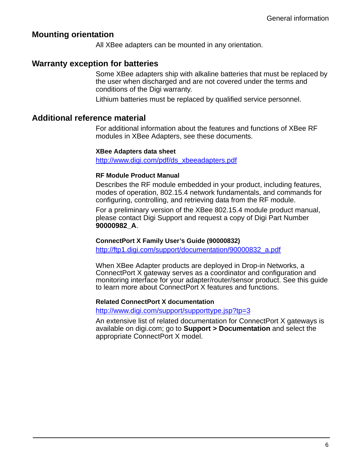#### <span id="page-5-0"></span>**Mounting orientation**

All XBee adapters can be mounted in any orientation.

#### **Warranty exception for batteries**

Some XBee adapters ship with alkaline batteries that must be replaced by the user when discharged and are not covered under the terms and conditions of the Digi warranty.

Lithium batteries must be replaced by qualified service personnel.

#### <span id="page-5-1"></span>**Additional reference material**

For additional information about the features and functions of XBee RF modules in XBee Adapters, see these documents.

#### **XBee Adapters data sheet**

http://www.digi.com/pdf/ds\_xbeeadapters.pdf

#### **RF Module Product Manual**

Describes the RF module embedded in your product, including features, modes of operation, 802.15.4 network fundamentals, and commands for configuring, controlling, and retrieving data from the RF module.

For a preliminary version of the XBee 802.15.4 module product manual, please contact Digi Support and request a copy of Digi Part Number **90000982\_A**.

#### **ConnectPort X Family User's Guide (90000832)**

http://ftp1.digi.com/support/documentation/90000832\_a.pdf

When XBee Adapter products are deployed in Drop-in Networks, a ConnectPort X gateway serves as a coordinator and configuration and monitoring interface for your adapter/router/sensor product. See this guide to learn more about ConnectPort X features and functions.

#### **Related ConnectPort X documentation**

#### http://www.digi.com/support/supporttype.jsp?tp=3

An extensive list of related documentation for ConnectPort X gateways is available on digi.com; go to **Support > Documentation** and select the appropriate ConnectPort X model.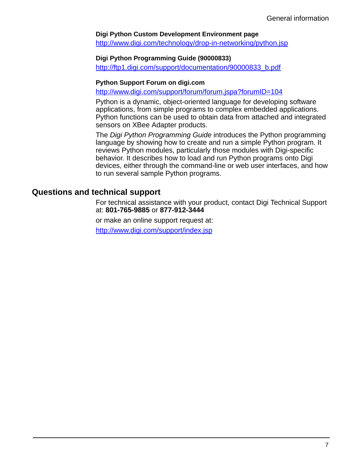#### **Digi Python Custom Development Environment page**

http://www.digi.com/technology/drop-in-networking/python.jsp

#### **Digi Python Programming Guide (90000833)**

http://ftp1.digi.com/support/documentation/90000833\_b.pdf

#### **Python Support Forum on digi.com**

http://www.digi.com/support/forum/forum.jspa?forumID=104

Python is a dynamic, object-oriented language for developing software applications, from simple programs to complex embedded applications. Python functions can be used to obtain data from attached and integrated sensors on XBee Adapter products.

The *Digi Python Programming Guide* introduces the Python programming language by showing how to create and run a simple Python program. It reviews Python modules, particularly those modules with Digi-specific behavior. It describes how to load and run Python programs onto Digi devices, either through the command-line or web user interfaces, and how to run several sample Python programs.

#### **Questions and technical support**

For technical assistance with your product, contact Digi Technical Support at: **801-765-9885** or **877-912-3444**

or make an online support request at:

http://www.digi.com/support/index.jsp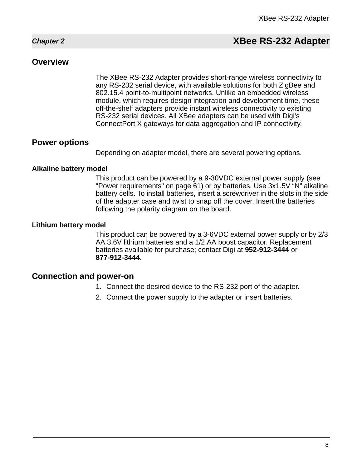## <span id="page-7-0"></span>*Chapter 2* **XBee RS-232 Adapter**

#### **Overview**

The XBee RS-232 Adapter provides short-range wireless connectivity to any RS-232 serial device, with available solutions for both ZigBee and 802.15.4 point-to-multipoint networks. Unlike an embedded wireless module, which requires design integration and development time, these off-the-shelf adapters provide instant wireless connectivity to existing RS-232 serial devices. All XBee adapters can be used with Digi's ConnectPort X gateways for data aggregation and IP connectivity.

#### **Power options**

Depending on adapter model, there are several powering options.

#### **Alkaline battery model**

This product can be powered by a 9-30VDC external power supply (see ["Power requirements" on page 61](#page-60-0)) or by batteries. Use 3x1.5V "N" alkaline battery cells. To install batteries, insert a screwdriver in the slots in the side of the adapter case and twist to snap off the cover. Insert the batteries following the polarity diagram on the board.

#### **Lithium battery model**

This product can be powered by a 3-6VDC external power supply or by 2/3 AA 3.6V lithium batteries and a 1/2 AA boost capacitor. Replacement batteries available for purchase; contact Digi at **952-912-3444** or **877-912-3444**.

#### **Connection and power-on**

- 1. Connect the desired device to the RS-232 port of the adapter.
- 2. Connect the power supply to the adapter or insert batteries.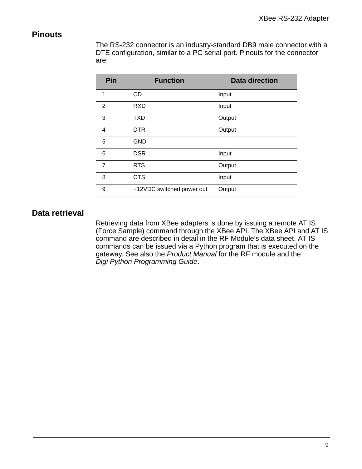#### **Pinouts**

The RS-232 connector is an industry-standard DB9 male connector with a DTE configuration, similar to a PC serial port. Pinouts for the connector are:

| Pin            | <b>Function</b>           | <b>Data direction</b> |
|----------------|---------------------------|-----------------------|
| 1              | <b>CD</b>                 | Input                 |
| 2              | <b>RXD</b>                | Input                 |
| 3              | <b>TXD</b>                | Output                |
| 4              | <b>DTR</b>                | Output                |
| 5              | <b>GND</b>                |                       |
| 6              | <b>DSR</b>                | Input                 |
| $\overline{7}$ | <b>RTS</b>                | Output                |
| 8              | <b>CTS</b>                | Input                 |
| 9              | +12VDC switched power out | Output                |

## **Data retrieval**

Retrieving data from XBee adapters is done by issuing a remote AT IS (Force Sample) command through the XBee API. The XBee API and AT IS command are described in detail in the RF Module's data sheet. AT IS commands can be issued via a Python program that is executed on the gateway. See also the *Product Manual* for the RF module and the *Digi Python Programming Guide*.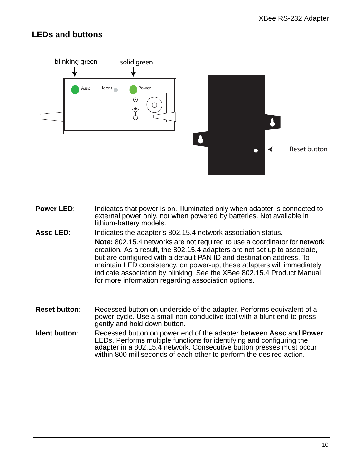## **LEDs and buttons**



- **Power LED:** Indicates that power is on. Illuminated only when adapter is connected to external power only, not when powered by batteries. Not available in lithium-battery models.
- **Assc LED**: Indicates the adapter's 802.15.4 network association status. **Note:** 802.15.4 networks are not required to use a coordinator for network creation. As a result, the 802.15.4 adapters are not set up to associate, but are configured with a default PAN ID and destination address. To maintain LED consistency, on power-up, these adapters will immediately indicate association by blinking. See the XBee 802.15.4 Product Manual for more information regarding association options.
- **Reset button:** Recessed button on underside of the adapter. Performs equivalent of a power-cycle. Use a small non-conductive tool with a blunt end to press gently and hold down button.
- **Ident button**: Recessed button on power end of the adapter between **Assc** and **Power** LEDs. Performs multiple functions for identifying and configuring the adapter in a 802.15.4 network. Consecutive button presses must occur within 800 milliseconds of each other to perform the desired action.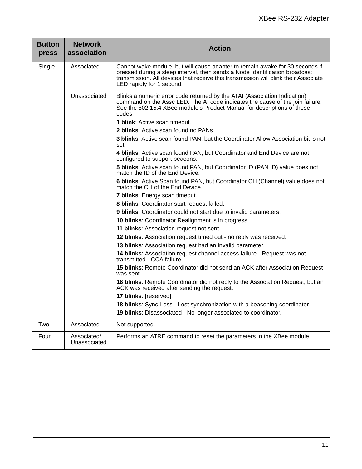| Button<br>press                                                                                                                               | <b>Network</b><br>association  | <b>Action</b>                                                                                                                                                                                                                                                                   |  |  |
|-----------------------------------------------------------------------------------------------------------------------------------------------|--------------------------------|---------------------------------------------------------------------------------------------------------------------------------------------------------------------------------------------------------------------------------------------------------------------------------|--|--|
| Single                                                                                                                                        | Associated                     | Cannot wake module, but will cause adapter to remain awake for 30 seconds if<br>pressed during a sleep interval, then sends a Node Identification broadcast<br>transmission. All devices that receive this transmission will blink their Associate<br>LED rapidly for 1 second. |  |  |
|                                                                                                                                               | Unassociated                   | Blinks a numeric error code returned by the ATAI (Association Indication)<br>command on the Assc LED. The AI code indicates the cause of the join failure.<br>See the 802.15.4 XBee module's Product Manual for descriptions of these<br>codes.                                 |  |  |
|                                                                                                                                               |                                | <b>1 blink:</b> Active scan timeout.                                                                                                                                                                                                                                            |  |  |
|                                                                                                                                               |                                | <b>2 blinks:</b> Active scan found no PANs.                                                                                                                                                                                                                                     |  |  |
|                                                                                                                                               |                                | 3 blinks: Active scan found PAN, but the Coordinator Allow Association bit is not<br>set.                                                                                                                                                                                       |  |  |
|                                                                                                                                               |                                | 4 blinks: Active scan found PAN, but Coordinator and End Device are not<br>configured to support beacons.                                                                                                                                                                       |  |  |
|                                                                                                                                               |                                | 5 blinks: Active scan found PAN, but Coordinator ID (PAN ID) value does not<br>match the ID of the End Device.                                                                                                                                                                  |  |  |
|                                                                                                                                               |                                | 6 blinks: Active Scan found PAN, but Coordinator CH (Channel) value does not<br>match the CH of the End Device.                                                                                                                                                                 |  |  |
|                                                                                                                                               | 7 blinks: Energy scan timeout. |                                                                                                                                                                                                                                                                                 |  |  |
| 8 blinks: Coordinator start request failed.<br>10 blinks: Coordinator Realignment is in progress.<br>11 blinks: Association request not sent. |                                |                                                                                                                                                                                                                                                                                 |  |  |
|                                                                                                                                               |                                | 9 blinks: Coordinator could not start due to invalid parameters.                                                                                                                                                                                                                |  |  |
|                                                                                                                                               |                                |                                                                                                                                                                                                                                                                                 |  |  |
|                                                                                                                                               |                                |                                                                                                                                                                                                                                                                                 |  |  |
|                                                                                                                                               |                                | 12 blinks: Association request timed out - no reply was received.                                                                                                                                                                                                               |  |  |
|                                                                                                                                               |                                | 13 blinks: Association request had an invalid parameter.                                                                                                                                                                                                                        |  |  |
|                                                                                                                                               |                                | 14 blinks: Association request channel access failure - Request was not<br>transmitted - CCA failure.                                                                                                                                                                           |  |  |
|                                                                                                                                               |                                | 15 blinks: Remote Coordinator did not send an ACK after Association Request<br>was sent.                                                                                                                                                                                        |  |  |
|                                                                                                                                               |                                | 16 blinks: Remote Coordinator did not reply to the Association Request, but an<br>ACK was received after sending the request.                                                                                                                                                   |  |  |
|                                                                                                                                               |                                | 17 blinks: [reserved].                                                                                                                                                                                                                                                          |  |  |
|                                                                                                                                               |                                | 18 blinks: Sync-Loss - Lost synchronization with a beaconing coordinator.                                                                                                                                                                                                       |  |  |
|                                                                                                                                               |                                | 19 blinks: Disassociated - No longer associated to coordinator.                                                                                                                                                                                                                 |  |  |
| Two                                                                                                                                           | Associated                     | Not supported.                                                                                                                                                                                                                                                                  |  |  |
| Four                                                                                                                                          | Associated/<br>Unassociated    | Performs an ATRE command to reset the parameters in the XBee module.                                                                                                                                                                                                            |  |  |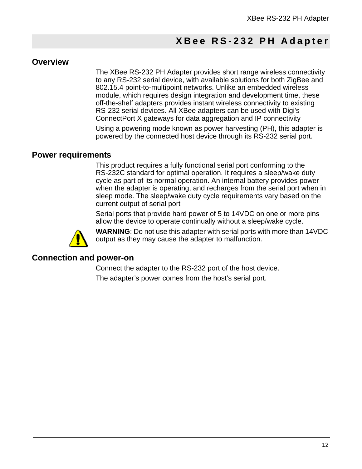## **XBee RS-232 PH Adapter**

#### **Overview**

<span id="page-11-0"></span>The XBee RS-232 PH Adapter provides short range wireless connectivity to any RS-232 serial device, with available solutions for both ZigBee and 802.15.4 point-to-multipoint networks. Unlike an embedded wireless module, which requires design integration and development time, these off-the-shelf adapters provides instant wireless connectivity to existing RS-232 serial devices. All XBee adapters can be used with Digi's ConnectPort X gateways for data aggregation and IP connectivity

Using a powering mode known as power harvesting (PH), this adapter is powered by the connected host device through its RS-232 serial port.

#### **Power requirements**

This product requires a fully functional serial port conforming to the RS-232C standard for optimal operation. It requires a sleep/wake duty cycle as part of its normal operation. An internal battery provides power when the adapter is operating, and recharges from the serial port when in sleep mode. The sleep/wake duty cycle requirements vary based on the current output of serial port

Serial ports that provide hard power of 5 to 14VDC on one or more pins allow the device to operate continually without a sleep/wake cycle.



**WARNING**: Do not use this adapter with serial ports with more than 14VDC output as they may cause the adapter to malfunction.

#### **Connection and power-on**

Connect the adapter to the RS-232 port of the host device. The adapter's power comes from the host's serial port.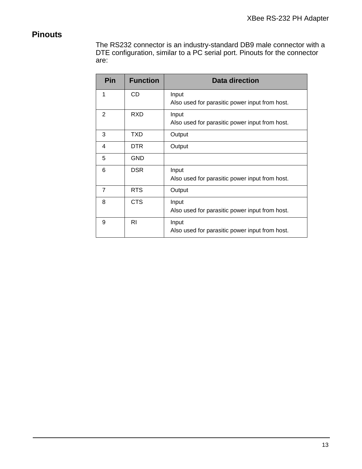## **Pinouts**

The RS232 connector is an industry-standard DB9 male connector with a DTE configuration, similar to a PC serial port. Pinouts for the connector are:

| Pin            | <b>Function</b> | <b>Data direction</b>                                   |
|----------------|-----------------|---------------------------------------------------------|
| 1              | <b>CD</b>       | Input<br>Also used for parasitic power input from host. |
| 2              | <b>RXD</b>      | Input<br>Also used for parasitic power input from host. |
| 3              | TXD             | Output                                                  |
| 4              | DTR.            | Output                                                  |
| 5              | <b>GND</b>      |                                                         |
| 6              | <b>DSR</b>      | Input<br>Also used for parasitic power input from host. |
| $\overline{7}$ | <b>RTS</b>      | Output                                                  |
| 8              | <b>CTS</b>      | Input<br>Also used for parasitic power input from host. |
| 9              | RI              | Input<br>Also used for parasitic power input from host. |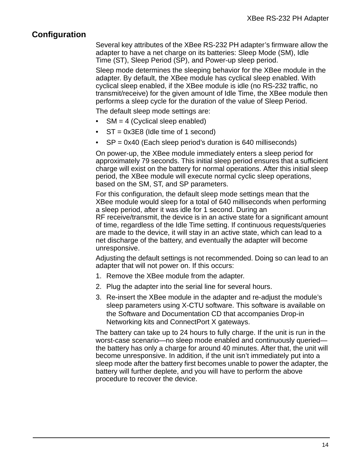### **Configuration**

Several key attributes of the XBee RS-232 PH adapter's firmware allow the adapter to have a net charge on its batteries: Sleep Mode (SM), Idle Time (ST), Sleep Period (SP), and Power-up sleep period.

Sleep mode determines the sleeping behavior for the XBee module in the adapter. By default, the XBee module has cyclical sleep enabled. With cyclical sleep enabled, if the XBee module is idle (no RS-232 traffic, no transmit/receive) for the given amount of Idle Time, the XBee module then performs a sleep cycle for the duration of the value of Sleep Period.

The default sleep mode settings are:

- $SM = 4$  (Cyclical sleep enabled)
- $ST = 0x3E8$  (Idle time of 1 second)
- SP = 0x40 (Each sleep period's duration is 640 milliseconds)

On power-up, the XBee module immediately enters a sleep period for approximately 79 seconds. This initial sleep period ensures that a sufficient charge will exist on the battery for normal operations. After this initial sleep period, the XBee module will execute normal cyclic sleep operations, based on the SM, ST, and SP parameters.

For this configuration, the default sleep mode settings mean that the XBee module would sleep for a total of 640 milliseconds when performing a sleep period, after it was idle for 1 second. During an RF receive/transmit, the device is in an active state for a significant amount of time, regardless of the Idle Time setting. If continuous requests/queries are made to the device, it will stay in an active state, which can lead to a net discharge of the battery, and eventually the adapter will become unresponsive.

Adjusting the default settings is not recommended. Doing so can lead to an adapter that will not power on. If this occurs:

- 1. Remove the XBee module from the adapter.
- 2. Plug the adapter into the serial line for several hours.
- 3. Re-insert the XBee module in the adapter and re-adjust the module's sleep parameters using X-CTU software. This software is available on the Software and Documentation CD that accompanies Drop-in Networking kits and ConnectPort X gateways.

The battery can take up to 24 hours to fully charge. If the unit is run in the worst-case scenario—no sleep mode enabled and continuously queried the battery has only a charge for around 40 minutes. After that, the unit will become unresponsive. In addition, if the unit isn't immediately put into a sleep mode after the battery first becomes unable to power the adapter, the battery will further deplete, and you will have to perform the above procedure to recover the device.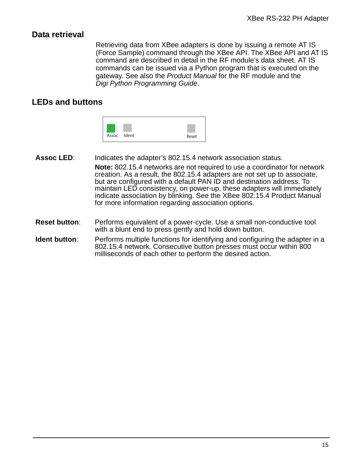### **Data retrieval**

Retrieving data from XBee adapters is done by issuing a remote AT IS (Force Sample) command through the XBee API. The XBee API and AT IS command are described in detail in the RF module's data sheet. AT IS commands can be issued via a Python program that is executed on the gateway. See also the *Product Manual* for the RF module and the *Digi Python Programming Guide*.

## **LEDs and buttons**



- **Assoc LED**: Indicates the adapter's 802.15.4 network association status. **Note:** 802.15.4 networks are not required to use a coordinator for network creation. As a result, the 802.15.4 adapters are not set up to associate, but are configured with a default PAN ID and destination address. To maintain LED consistency, on power-up, these adapters will immediately indicate association by blinking. See the XBee 802.15.4 Product Manual for more information regarding association options.
- **Reset button**: Performs equivalent of a power-cycle. Use a small non-conductive tool with a blunt end to press gently and hold down button.
- **Ident button:** Performs multiple functions for identifying and configuring the adapter in a 802.15.4 network. Consecutive button presses must occur within 800 milliseconds of each other to perform the desired action.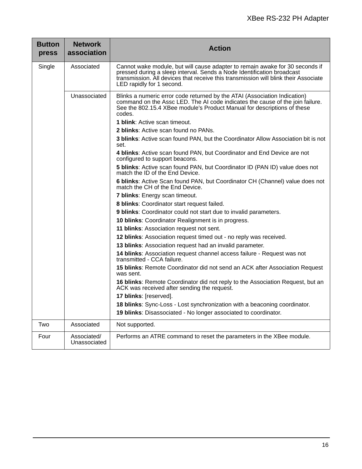| <b>Button</b><br>press                   | <b>Network</b><br>association | <b>Action</b>                                                                                                                                                                                                                                                              |  |  |  |
|------------------------------------------|-------------------------------|----------------------------------------------------------------------------------------------------------------------------------------------------------------------------------------------------------------------------------------------------------------------------|--|--|--|
| Single                                   | Associated                    | Cannot wake module, but will cause adapter to remain awake for 30 seconds if<br>pressed during a sleep interval. Sends a Node Identification broadcast<br>transmission. All devices that receive this transmission will blink their Associate<br>LED rapidly for 1 second. |  |  |  |
|                                          | Unassociated                  | Blinks a numeric error code returned by the ATAI (Association Indication)<br>command on the Assc LED. The AI code indicates the cause of the join failure.<br>See the 802.15.4 XBee module's Product Manual for descriptions of these<br>codes.                            |  |  |  |
|                                          |                               | <b>1 blink:</b> Active scan timeout.                                                                                                                                                                                                                                       |  |  |  |
|                                          |                               | 2 blinks: Active scan found no PANs.                                                                                                                                                                                                                                       |  |  |  |
|                                          |                               | 3 blinks: Active scan found PAN, but the Coordinator Allow Association bit is not<br>set.                                                                                                                                                                                  |  |  |  |
|                                          |                               | 4 blinks: Active scan found PAN, but Coordinator and End Device are not<br>configured to support beacons.                                                                                                                                                                  |  |  |  |
|                                          |                               | 5 blinks: Active scan found PAN, but Coordinator ID (PAN ID) value does not<br>match the ID of the End Device.                                                                                                                                                             |  |  |  |
|                                          |                               | 6 blinks: Active Scan found PAN, but Coordinator CH (Channel) value does not<br>match the CH of the End Device.                                                                                                                                                            |  |  |  |
|                                          |                               | 7 blinks: Energy scan timeout.                                                                                                                                                                                                                                             |  |  |  |
| 11 blinks: Association request not sent. |                               | 8 blinks: Coordinator start request failed.                                                                                                                                                                                                                                |  |  |  |
|                                          |                               | 9 blinks: Coordinator could not start due to invalid parameters.                                                                                                                                                                                                           |  |  |  |
|                                          |                               | 10 blinks: Coordinator Realignment is in progress.                                                                                                                                                                                                                         |  |  |  |
|                                          |                               |                                                                                                                                                                                                                                                                            |  |  |  |
|                                          |                               | 12 blinks: Association request timed out - no reply was received.                                                                                                                                                                                                          |  |  |  |
|                                          |                               | 13 blinks: Association request had an invalid parameter.                                                                                                                                                                                                                   |  |  |  |
|                                          |                               | 14 blinks: Association request channel access failure - Request was not<br>transmitted - CCA failure.                                                                                                                                                                      |  |  |  |
|                                          |                               | 15 blinks: Remote Coordinator did not send an ACK after Association Request<br>was sent.                                                                                                                                                                                   |  |  |  |
|                                          |                               | 16 blinks: Remote Coordinator did not reply to the Association Request, but an<br>ACK was received after sending the request.                                                                                                                                              |  |  |  |
|                                          |                               | 17 blinks: [reserved].                                                                                                                                                                                                                                                     |  |  |  |
|                                          |                               | 18 blinks: Sync-Loss - Lost synchronization with a beaconing coordinator.                                                                                                                                                                                                  |  |  |  |
|                                          |                               | 19 blinks: Disassociated - No longer associated to coordinator.                                                                                                                                                                                                            |  |  |  |
| Two                                      | Associated                    | Not supported.                                                                                                                                                                                                                                                             |  |  |  |
| Four                                     | Associated/<br>Unassociated   | Performs an ATRE command to reset the parameters in the XBee module.                                                                                                                                                                                                       |  |  |  |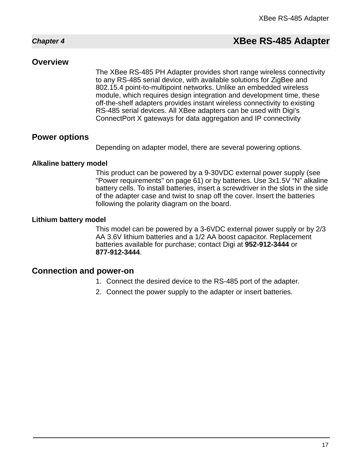## *Chapter 4* **XBee RS-485 Adapter**

#### **Overview**

<span id="page-16-0"></span>The XBee RS-485 PH Adapter provides short range wireless connectivity to any RS-485 serial device, with available solutions for ZigBee and 802.15.4 point-to-multipoint networks. Unlike an embedded wireless module, which requires design integration and development time, these off-the-shelf adapters provides instant wireless connectivity to existing RS-485 serial devices. All XBee adapters can be used with Digi's ConnectPort X gateways for data aggregation and IP connectivity

#### **Power options**

Depending on adapter model, there are several powering options.

#### **Alkaline battery model**

This product can be powered by a 9-30VDC external power supply (see ["Power requirements" on page 61](#page-60-0)) or by batteries. Use 3x1.5V "N" alkaline battery cells. To install batteries, insert a screwdriver in the slots in the side of the adapter case and twist to snap off the cover. Insert the batteries following the polarity diagram on the board.

#### **Lithium battery model**

This model can be powered by a 3-6VDC external power supply or by 2/3 AA 3.6V lithium batteries and a 1/2 AA boost capacitor. Replacement batteries available for purchase; contact Digi at **952-912-3444** or **877-912-3444**.

#### **Connection and power-on**

- 1. Connect the desired device to the RS-485 port of the adapter.
- 2. Connect the power supply to the adapter or insert batteries.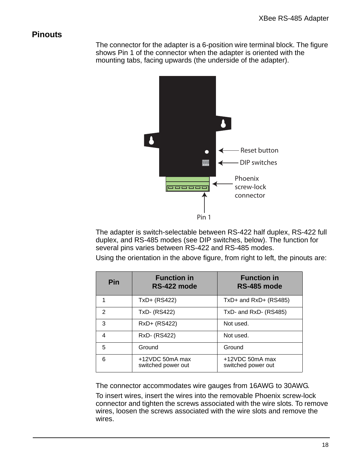### **Pinouts**

The connector for the adapter is a 6-position wire terminal block. The figure shows Pin 1 of the connector when the adapter is oriented with the mounting tabs, facing upwards (the underside of the adapter).



The adapter is switch-selectable between RS-422 half duplex, RS-422 full duplex, and RS-485 modes (see DIP switches, below). The function for several pins varies between RS-422 and RS-485 modes.

Using the orientation in the above figure, from right to left, the pinouts are:

| Pin           | <b>Function in</b><br>RS-422 mode     | <b>Function in</b><br>RS-485 mode     |
|---------------|---------------------------------------|---------------------------------------|
|               | TxD+ (RS422)                          | TxD+ and RxD+ (RS485)                 |
| $\mathcal{P}$ | TxD- (RS422)                          | TxD- and RxD- (RS485)                 |
| 3             | RxD+ (RS422)                          | Not used.                             |
| 4             | RxD- (RS422)                          | Not used.                             |
| 5             | Ground                                | Ground                                |
| 6             | +12VDC 50mA max<br>switched power out | +12VDC 50mA max<br>switched power out |

The connector accommodates wire gauges from 16AWG to 30AWG.

To insert wires, insert the wires into the removable Phoenix screw-lock connector and tighten the screws associated with the wire slots. To remove wires, loosen the screws associated with the wire slots and remove the wires.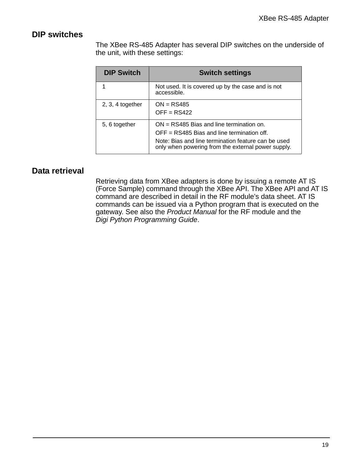## **DIP switches**

The XBee RS-485 Adapter has several DIP switches on the underside of the unit, with these settings:

| <b>DIP Switch</b>  | <b>Switch settings</b>                                                                                                                                                                                  |  |  |
|--------------------|---------------------------------------------------------------------------------------------------------------------------------------------------------------------------------------------------------|--|--|
|                    | Not used. It is covered up by the case and is not<br>accessible.                                                                                                                                        |  |  |
| $2, 3, 4$ together | $ON = RS485$<br>$OFF = RS422$                                                                                                                                                                           |  |  |
| 5, 6 together      | $ON = RS485$ Bias and line termination on.<br>$OFF = RS485$ Bias and line termination off.<br>Note: Bias and line termination feature can be used<br>only when powering from the external power supply. |  |  |

## **Data retrieval**

Retrieving data from XBee adapters is done by issuing a remote AT IS (Force Sample) command through the XBee API. The XBee API and AT IS command are described in detail in the RF module's data sheet. AT IS commands can be issued via a Python program that is executed on the gateway. See also the *Product Manual* for the RF module and the *Digi Python Programming Guide*.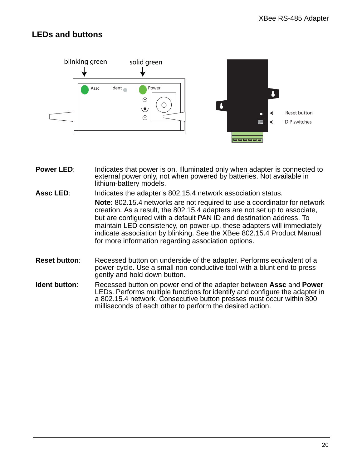## **LEDs and buttons**



- **Power LED:** Indicates that power is on. Illuminated only when adapter is connected to external power only, not when powered by batteries. Not available in lithium-battery models.
- **Assc LED**: Indicates the adapter's 802.15.4 network association status. **Note:** 802.15.4 networks are not required to use a coordinator for network creation. As a result, the 802.15.4 adapters are not set up to associate, but are configured with a default PAN ID and destination address. To maintain LED consistency, on power-up, these adapters will immediately

indicate association by blinking. See the XBee 802.15.4 Product Manual for more information regarding association options.

- **Reset button:** Recessed button on underside of the adapter. Performs equivalent of a power-cycle. Use a small non-conductive tool with a blunt end to press gently and hold down button.
- **Ident button**: Recessed button on power end of the adapter between **Assc** and **Power** LEDs. Performs multiple functions for identify and configure the adapter in a 802.15.4 network. Consecutive button presses must occur within 800 milliseconds of each other to perform the desired action.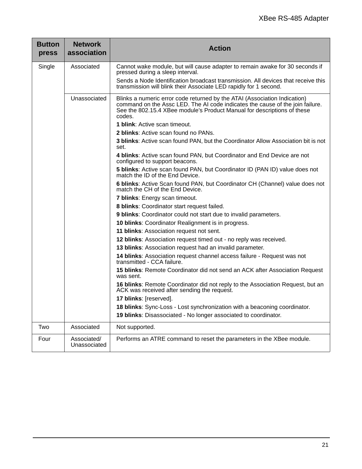| <b>Button</b><br>press                                                                         | <b>Network</b><br>association                                                                                   | <b>Action</b>                                                                                                                                                                                                                                   |  |  |  |
|------------------------------------------------------------------------------------------------|-----------------------------------------------------------------------------------------------------------------|-------------------------------------------------------------------------------------------------------------------------------------------------------------------------------------------------------------------------------------------------|--|--|--|
| Single                                                                                         | Associated                                                                                                      | Cannot wake module, but will cause adapter to remain awake for 30 seconds if<br>pressed during a sleep interval.                                                                                                                                |  |  |  |
|                                                                                                |                                                                                                                 | Sends a Node Identification broadcast transmission. All devices that receive this<br>transmission will blink their Associate LED rapidly for 1 second.                                                                                          |  |  |  |
|                                                                                                | Unassociated                                                                                                    | Blinks a numeric error code returned by the ATAI (Association Indication)<br>command on the Assc LED. The AI code indicates the cause of the join failure.<br>See the 802.15.4 XBee module's Product Manual for descriptions of these<br>codes. |  |  |  |
|                                                                                                |                                                                                                                 | <b>1 blink:</b> Active scan timeout.                                                                                                                                                                                                            |  |  |  |
|                                                                                                |                                                                                                                 | <b>2 blinks:</b> Active scan found no PANs.                                                                                                                                                                                                     |  |  |  |
|                                                                                                |                                                                                                                 | 3 blinks: Active scan found PAN, but the Coordinator Allow Association bit is not<br>set.                                                                                                                                                       |  |  |  |
|                                                                                                |                                                                                                                 | 4 blinks: Active scan found PAN, but Coordinator and End Device are not<br>configured to support beacons.                                                                                                                                       |  |  |  |
|                                                                                                | 5 blinks: Active scan found PAN, but Coordinator ID (PAN ID) value does not<br>match the ID of the End Device.  |                                                                                                                                                                                                                                                 |  |  |  |
|                                                                                                | 6 blinks: Active Scan found PAN, but Coordinator CH (Channel) value does not<br>match the CH of the End Device. |                                                                                                                                                                                                                                                 |  |  |  |
|                                                                                                |                                                                                                                 | 7 blinks: Energy scan timeout.                                                                                                                                                                                                                  |  |  |  |
|                                                                                                | 8 blinks: Coordinator start request failed.                                                                     |                                                                                                                                                                                                                                                 |  |  |  |
|                                                                                                |                                                                                                                 | 9 blinks: Coordinator could not start due to invalid parameters.                                                                                                                                                                                |  |  |  |
| 10 blinks: Coordinator Realignment is in progress.<br>11 blinks: Association request not sent. |                                                                                                                 |                                                                                                                                                                                                                                                 |  |  |  |
|                                                                                                |                                                                                                                 |                                                                                                                                                                                                                                                 |  |  |  |
|                                                                                                |                                                                                                                 | 12 blinks: Association request timed out - no reply was received.                                                                                                                                                                               |  |  |  |
|                                                                                                |                                                                                                                 | 13 blinks: Association request had an invalid parameter.                                                                                                                                                                                        |  |  |  |
|                                                                                                |                                                                                                                 | 14 blinks: Association request channel access failure - Request was not<br>transmitted - CCA failure.                                                                                                                                           |  |  |  |
|                                                                                                |                                                                                                                 | 15 blinks: Remote Coordinator did not send an ACK after Association Request<br>was sent.                                                                                                                                                        |  |  |  |
|                                                                                                |                                                                                                                 | 16 blinks: Remote Coordinator did not reply to the Association Request, but an<br>ACK was received after sending the request.                                                                                                                   |  |  |  |
|                                                                                                |                                                                                                                 | 17 blinks: [reserved].                                                                                                                                                                                                                          |  |  |  |
|                                                                                                |                                                                                                                 | 18 blinks: Sync-Loss - Lost synchronization with a beaconing coordinator.                                                                                                                                                                       |  |  |  |
|                                                                                                |                                                                                                                 | 19 blinks: Disassociated - No longer associated to coordinator.                                                                                                                                                                                 |  |  |  |
| Two                                                                                            | Associated                                                                                                      | Not supported.                                                                                                                                                                                                                                  |  |  |  |
| Four                                                                                           | Associated/<br>Unassociated                                                                                     | Performs an ATRE command to reset the parameters in the XBee module.                                                                                                                                                                            |  |  |  |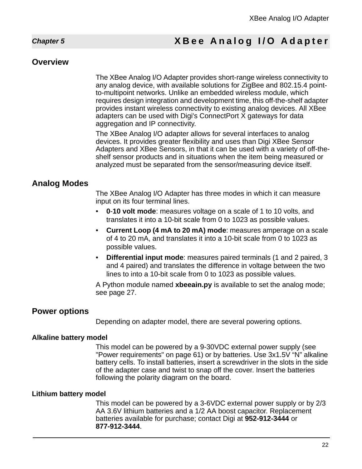## <span id="page-21-0"></span>*Chapter 5* **XBee Analog I/O Adapter**

### **Overview**

The XBee Analog I/O Adapter provides short-range wireless connectivity to any analog device, with available solutions for ZigBee and 802.15.4 pointto-multipoint networks. Unlike an embedded wireless module, which requires design integration and development time, this off-the-shelf adapter provides instant wireless connectivity to existing analog devices. All XBee adapters can be used with Digi's ConnectPort X gateways for data aggregation and IP connectivity.

The XBee Analog I/O adapter allows for several interfaces to analog devices. It provides greater flexibility and uses than Digi XBee Sensor Adapters and XBee Sensors, in that it can be used with a variety of off-theshelf sensor products and in situations when the item being measured or analyzed must be separated from the sensor/measuring device itself.

## **Analog Modes**

The XBee Analog I/O Adapter has three modes in which it can measure input on its four terminal lines.

- **0**-**10 volt mode**: measures voltage on a scale of 1 to 10 volts, and translates it into a 10-bit scale from 0 to 1023 as possible values.
- **Current Loop (4 mA to 20 mA) mode**: measures amperage on a scale of 4 to 20 mA, and translates it into a 10-bit scale from 0 to 1023 as possible values.
- **Differential input mode**: measures paired terminals (1 and 2 paired, 3 and 4 paired) and translates the difference in voltage between the two lines to into a 10-bit scale from 0 to 1023 as possible values.

A Python module named **xbeeain.py** is available to set the analog mode; see page [27.](#page-26-0)

### **Power options**

Depending on adapter model, there are several powering options.

#### **Alkaline battery model**

This model can be powered by a 9-30VDC external power supply (see ["Power requirements" on page 61](#page-60-0)) or by batteries. Use 3x1.5V "N" alkaline battery cells. To install batteries, insert a screwdriver in the slots in the side of the adapter case and twist to snap off the cover. Insert the batteries following the polarity diagram on the board.

#### **Lithium battery model**

This model can be powered by a 3-6VDC external power supply or by 2/3 AA 3.6V lithium batteries and a 1/2 AA boost capacitor. Replacement batteries available for purchase; contact Digi at **952-912-3444** or **877-912-3444**.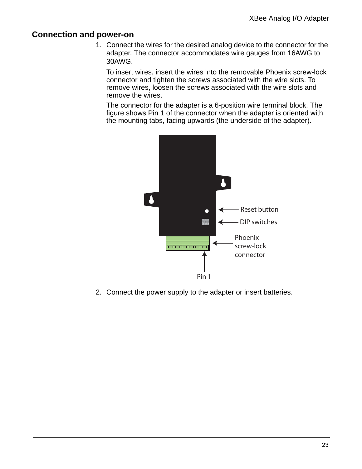## **Connection and power-on**

1. Connect the wires for the desired analog device to the connector for the adapter. The connector accommodates wire gauges from 16AWG to 30AWG.

To insert wires, insert the wires into the removable Phoenix screw-lock connector and tighten the screws associated with the wire slots. To remove wires, loosen the screws associated with the wire slots and remove the wires.

The connector for the adapter is a 6-position wire terminal block. The figure shows Pin 1 of the connector when the adapter is oriented with the mounting tabs, facing upwards (the underside of the adapter).



2. Connect the power supply to the adapter or insert batteries.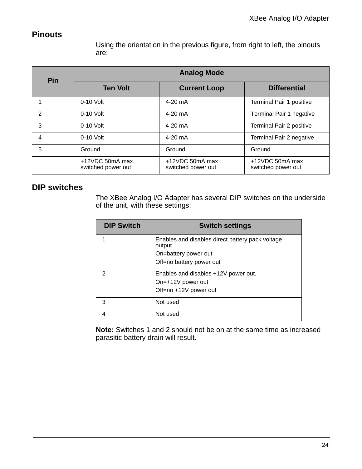## **Pinouts**

Using the orientation in the previous figure, from right to left, the pinouts are:

| <b>Pin</b> | <b>Analog Mode</b>                    |                                       |                                       |  |  |
|------------|---------------------------------------|---------------------------------------|---------------------------------------|--|--|
|            | <b>Ten Volt</b>                       | <b>Current Loop</b>                   | <b>Differential</b>                   |  |  |
|            | $0-10$ Volt                           | $4-20$ mA                             | Terminal Pair 1 positive              |  |  |
| 2          | $0-10$ Volt                           | $4-20$ mA                             | Terminal Pair 1 negative              |  |  |
| 3          | $0-10$ Volt                           | $4-20$ mA                             | Terminal Pair 2 positive              |  |  |
| 4          | $0-10$ Volt                           | $4-20$ mA                             | Terminal Pair 2 negative              |  |  |
| 5          | Ground                                | Ground                                | Ground                                |  |  |
|            | +12VDC 50mA max<br>switched power out | +12VDC 50mA max<br>switched power out | +12VDC 50mA max<br>switched power out |  |  |

## **DIP switches**

The XBee Analog I/O Adapter has several DIP switches on the underside of the unit, with these settings:

| <b>DIP Switch</b> | <b>Switch settings</b>                                      |  |
|-------------------|-------------------------------------------------------------|--|
|                   | Enables and disables direct battery pack voltage<br>output. |  |
|                   | On=battery power out                                        |  |
|                   | Off=no battery power out                                    |  |
| 2                 | Enables and disables +12V power out.                        |  |
|                   | On=+12V power out                                           |  |
|                   | Off=no +12V power out                                       |  |
| 3                 | Not used                                                    |  |
| 4                 | Not used                                                    |  |

**Note:** Switches 1 and 2 should not be on at the same time as increased parasitic battery drain will result.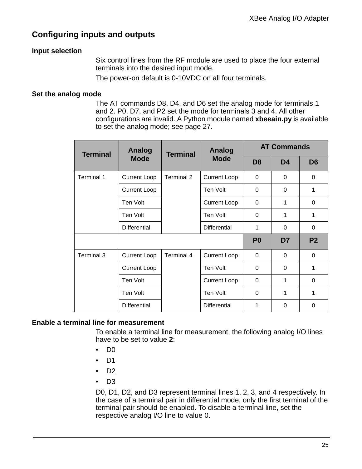## **Configuring inputs and outputs**

#### **Input selection**

Six control lines from the RF module are used to place the four external terminals into the desired input mode.

The power-on default is 0-10VDC on all four terminals.

#### **Set the analog mode**

The AT commands D8, D4, and D6 set the analog mode for terminals 1 and 2. P0, D7, and P2 set the mode for terminals 3 and 4. All other configurations are invalid. A Python module named **xbeeain.py** is available to set the analog mode; see page [27.](#page-26-0)

| <b>Terminal</b> | <b>Analog</b>       | Analog<br><b>Terminal</b> |                     |                | <b>AT Commands</b> |                |
|-----------------|---------------------|---------------------------|---------------------|----------------|--------------------|----------------|
|                 | <b>Mode</b>         |                           | <b>Mode</b>         | D <sub>8</sub> | D <sub>4</sub>     | D <sub>6</sub> |
| Terminal 1      | <b>Current Loop</b> | Terminal 2                | <b>Current Loop</b> | $\Omega$       | $\Omega$           | $\Omega$       |
|                 | <b>Current Loop</b> |                           | Ten Volt            | $\Omega$       | $\Omega$           | 1              |
|                 | Ten Volt            |                           | <b>Current Loop</b> | $\Omega$       | 1                  | 0              |
|                 | Ten Volt            |                           | Ten Volt            | $\Omega$       | 1                  | 1              |
|                 | <b>Differential</b> |                           | <b>Differential</b> | 1              | $\Omega$           | $\Omega$       |
|                 |                     |                           |                     | P <sub>0</sub> | D7                 | P <sub>2</sub> |
| Terminal 3      | <b>Current Loop</b> | Terminal 4                | <b>Current Loop</b> | $\Omega$       | $\Omega$           | $\Omega$       |
|                 | <b>Current Loop</b> |                           | Ten Volt            | $\Omega$       | 0                  | 1              |
|                 | Ten Volt            |                           | <b>Current Loop</b> | $\Omega$       | 1                  | $\Omega$       |
|                 | Ten Volt            |                           | Ten Volt            | 0              | 1                  | 1              |
|                 | <b>Differential</b> |                           | <b>Differential</b> | 1              | 0                  | 0              |

#### **Enable a terminal line for measurement**

To enable a terminal line for measurement, the following analog I/O lines have to be set to value **2**:

- $\bullet$  D<sub>0</sub>
- D1
- $\bullet$  D<sub>2</sub>
- $\bullet$  D<sub>3</sub>

D0, D1, D2, and D3 represent terminal lines 1, 2, 3, and 4 respectively. In the case of a terminal pair in differential mode, only the first terminal of the terminal pair should be enabled. To disable a terminal line, set the respective analog I/O line to value 0.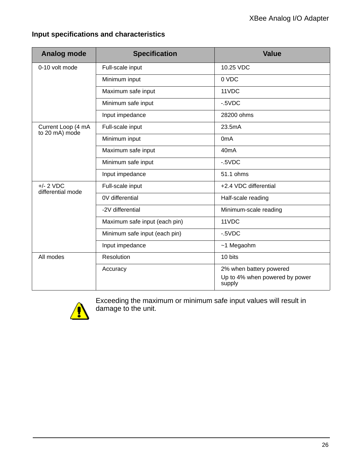| <b>Analog mode</b>                   | <b>Specification</b>          | <b>Value</b>                                                        |  |  |
|--------------------------------------|-------------------------------|---------------------------------------------------------------------|--|--|
| 0-10 volt mode                       | Full-scale input              | 10.25 VDC                                                           |  |  |
|                                      | Minimum input                 | 0 VDC                                                               |  |  |
|                                      | Maximum safe input            | 11VDC                                                               |  |  |
|                                      | Minimum safe input            | $-5VDC$                                                             |  |  |
|                                      | Input impedance               | 28200 ohms                                                          |  |  |
| Current Loop (4 mA<br>to 20 mA) mode | Full-scale input              | 23.5mA                                                              |  |  |
|                                      | Minimum input                 | 0 <sub>m</sub> A                                                    |  |  |
|                                      | Maximum safe input            | 40 <sub>m</sub> A                                                   |  |  |
|                                      | Minimum safe input            | $-5VDC$                                                             |  |  |
|                                      | Input impedance               | 51.1 ohms                                                           |  |  |
| $+/- 2$ VDC<br>differential mode     | Full-scale input              | +2.4 VDC differential                                               |  |  |
|                                      | 0V differential               | Half-scale reading                                                  |  |  |
|                                      | -2V differential              | Minimum-scale reading                                               |  |  |
|                                      | Maximum safe input (each pin) | 11VDC                                                               |  |  |
|                                      | Minimum safe input (each pin) | $-5VDC$                                                             |  |  |
|                                      | Input impedance               | ~1 Megaohm                                                          |  |  |
| All modes                            | Resolution                    | 10 bits                                                             |  |  |
|                                      | Accuracy                      | 2% when battery powered<br>Up to 4% when powered by power<br>supply |  |  |

## **Input specifications and characteristics**



Exceeding the maximum or minimum safe input values will result in damage to the unit.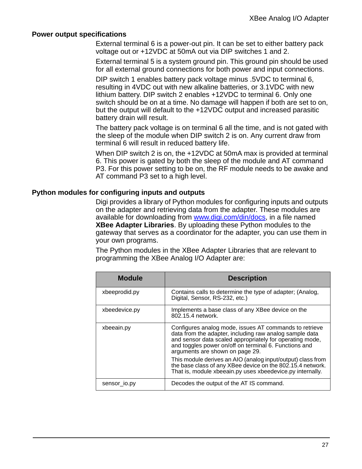#### **Power output specifications**

External terminal 6 is a power-out pin. It can be set to either battery pack voltage out or +12VDC at 50mA out via DIP switches 1 and 2.

External terminal 5 is a system ground pin. This ground pin should be used for all external ground connections for both power and input connections.

DIP switch 1 enables battery pack voltage minus .5VDC to terminal 6, resulting in 4VDC out with new alkaline batteries, or 3.1VDC with new lithium battery. DIP switch 2 enables +12VDC to terminal 6. Only one switch should be on at a time. No damage will happen if both are set to on, but the output will default to the +12VDC output and increased parasitic battery drain will result.

The battery pack voltage is on terminal 6 all the time, and is not gated with the sleep of the module when DIP switch 2 is on. Any current draw from terminal 6 will result in reduced battery life.

When DIP switch 2 is on, the +12VDC at 50mA max is provided at terminal 6. This power is gated by both the sleep of the module and AT command P3. For this power setting to be on, the RF module needs to be awake and AT command P3 set to a high level.

#### <span id="page-26-0"></span>**Python modules for configuring inputs and outputs**

Digi provides a library of Python modules for configuring inputs and outputs on the adapter and retrieving data from the adapter. These modules are available for downloading from www.digi.com/din/docs, in a file named **XBee Adapter Libraries**. By uploading these Python modules to the gateway that serves as a coordinator for the adapter, you can use them in your own programs.

The Python modules in the XBee Adapter Libraries that are relevant to programming the XBee Analog I/O Adapter are:

| <b>Module</b> | <b>Description</b>                                                                                                                                                                                                                                                        |
|---------------|---------------------------------------------------------------------------------------------------------------------------------------------------------------------------------------------------------------------------------------------------------------------------|
| xbeeprodid.py | Contains calls to determine the type of adapter; (Analog,<br>Digital, Sensor, RS-232, etc.)                                                                                                                                                                               |
| xbeedevice.py | Implements a base class of any XBee device on the<br>802.15.4 network.                                                                                                                                                                                                    |
| xbeeain.py    | Configures analog mode, issues AT commands to retrieve<br>data from the adapter, including raw analog sample data<br>and sensor data scaled appropriately for operating mode,<br>and toggles power on/off on terminal 6. Functions and<br>arguments are shown on page 29. |
|               | This module derives an AIO (analog input/output) class from<br>the base class of any XBee device on the 802.15.4 network.<br>That is, module xbeeain.py uses xbeedevice.py internally.                                                                                    |
| sensor io.py  | Decodes the output of the AT IS command.                                                                                                                                                                                                                                  |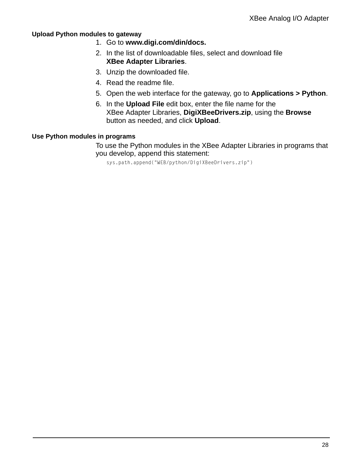#### **Upload Python modules to gateway**

- 1. Go to **www.digi.com/din/docs.**
- 2. In the list of downloadable files, select and download file **XBee Adapter Libraries**.
- 3. Unzip the downloaded file.
- 4. Read the readme file.
- 5. Open the web interface for the gateway, go to **Applications > Python**.
- 6. In the **Upload File** edit box, enter the file name for the XBee Adapter Libraries, **DigiXBeeDrivers.zip**, using the **Browse** button as needed, and click **Upload**.

#### **Use Python modules in programs**

To use the Python modules in the XBee Adapter Libraries in programs that you develop, append this statement:

sys.path.append("WEB/python/DigiXBeeDrivers.zip")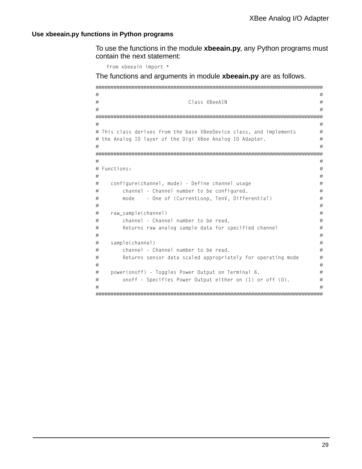#### <span id="page-28-0"></span>**Use xbeeain.py functions in Python programs**

To use the functions in the module **xbeeain.py**, any Python programs must contain the next statement:

from xbeeain import \*

The functions and arguments in module **xbeeain.py** are as follows.

```
############################################################################
# #
# Class XBeeAIN #
# #
############################################################################
# #
# This class derives from the base XBeeDevice class, and implements \qquad \qquad \## the Analog IO layer of the Digi XBee Analog IO Adapter. \## #
############################################################################
# #
# Functions: #
# #
# configure(channel, mode) - Define channel usage \## channel - Channel number to be configured. # \## mode - One of (CurrentLoop, TenV, Differential) #
# #
# raw_sample(channel) #
# channel - Channel number to be read. # \qquad #
# Returns raw analog sample data for specified channel # \## #
# sample(channel) #
# channel - Channel number to be read. #
# Returns sensor data scaled appropriately for operating mode #
# #
# power(onoff) - Toggles Power Output on Terminal 6. \## onoff - Specifies Power Output either on (1) or off (0). #
# #
############################################################################
```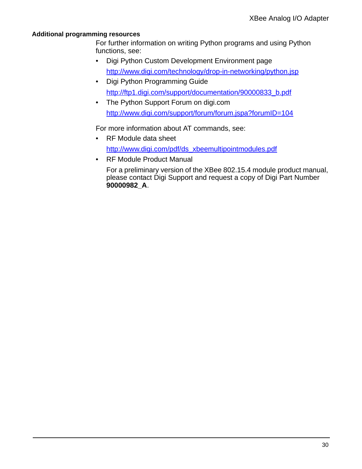#### **Additional programming resources**

For further information on writing Python programs and using Python functions, see:

- Digi Python Custom Development Environment page http://www.digi.com/technology/drop-in-networking/python.jsp
- Digi Python Programming Guide http://ftp1.digi.com/support/documentation/90000833\_b.pdf
- The Python Support Forum on digi.com http://www.digi.com/support/forum/forum.jspa?forumID=104

For more information about AT commands, see:

- RF Module data sheet http://www.digi.com/pdf/ds\_xbeemultipointmodules.pdf
- RF Module Product Manual

For a preliminary version of the XBee 802.15.4 module product manual, please contact Digi Support and request a copy of Digi Part Number **90000982\_A**.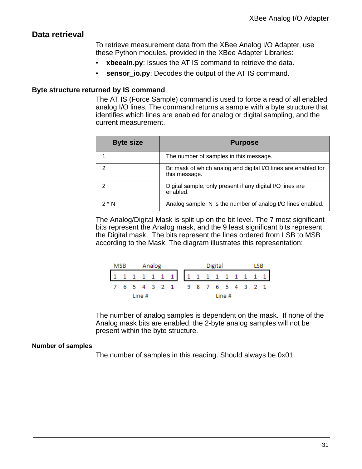### **Data retrieval**

To retrieve measurement data from the XBee Analog I/O Adapter, use these Python modules, provided in the XBee Adapter Libraries:

- **xbeeain.py**: Issues the AT IS command to retrieve the data.
- **sensor\_io.py:** Decodes the output of the AT IS command.

#### **Byte structure returned by IS command**

The AT IS (Force Sample) command is used to force a read of all enabled analog I/O lines. The command returns a sample with a byte structure that identifies which lines are enabled for analog or digital sampling, and the current measurement.

| <b>Byte size</b> | <b>Purpose</b>                                                                  |
|------------------|---------------------------------------------------------------------------------|
|                  | The number of samples in this message.                                          |
|                  | Bit mask of which analog and digital I/O lines are enabled for<br>this message. |
|                  | Digital sample, only present if any digital I/O lines are<br>enabled.           |
| $2^*$ N          | Analog sample; N is the number of analog I/O lines enabled.                     |

The Analog/Digital Mask is split up on the bit level. The 7 most significant bits represent the Analog mask, and the 9 least significant bits represent the Digital mask. The bits represent the lines ordered from LSB to MSB according to the Mask. The diagram illustrates this representation:

|                                 | Analog<br>MSB |  |        |  |  |  |  |  |  |  | Digital |        |  |  |
|---------------------------------|---------------|--|--------|--|--|--|--|--|--|--|---------|--------|--|--|
|                                 |               |  |        |  |  |  |  |  |  |  |         |        |  |  |
| 7 6 5 4 3 2 1 9 8 7 6 5 4 3 2 1 |               |  |        |  |  |  |  |  |  |  |         |        |  |  |
|                                 |               |  | Line # |  |  |  |  |  |  |  |         | Line # |  |  |

The number of analog samples is dependent on the mask. If none of the Analog mask bits are enabled, the 2-byte analog samples will not be present within the byte structure.

#### **Number of samples**

The number of samples in this reading. Should always be 0x01.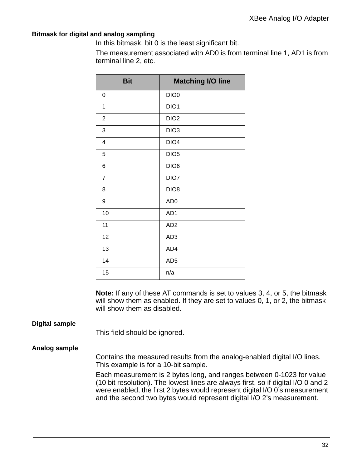#### **Bitmask for digital and analog sampling**

In this bitmask, bit 0 is the least significant bit.

The measurement associated with AD0 is from terminal line 1, AD1 is from terminal line 2, etc.

| <b>Bit</b>       | <b>Matching I/O line</b> |
|------------------|--------------------------|
| 0                | DIO <sub>0</sub>         |
| 1                | DIO1                     |
| $\boldsymbol{2}$ | DIO <sub>2</sub>         |
| 3                | DIO <sub>3</sub>         |
| 4                | DIO <sub>4</sub>         |
| 5                | DIO <sub>5</sub>         |
| 6                | DIO <sub>6</sub>         |
| $\overline{7}$   | DIO7                     |
| 8                | DIO <sub>8</sub>         |
| 9                | AD <sub>0</sub>          |
| 10               | AD1                      |
| 11               | AD <sub>2</sub>          |
| 12               | AD <sub>3</sub>          |
| 13               | AD4                      |
| 14               | AD <sub>5</sub>          |
| 15               | n/a                      |

**Note:** If any of these AT commands is set to values 3, 4, or 5, the bitmask will show them as enabled. If they are set to values 0, 1, or 2, the bitmask will show them as disabled.

#### **Digital sample**

This field should be ignored.

#### **Analog sample**

Contains the measured results from the analog-enabled digital I/O lines. This example is for a 10-bit sample.

Each measurement is 2 bytes long, and ranges between 0-1023 for value (10 bit resolution). The lowest lines are always first, so if digital I/O 0 and 2 were enabled, the first 2 bytes would represent digital I/O 0's measurement and the second two bytes would represent digital I/O 2's measurement.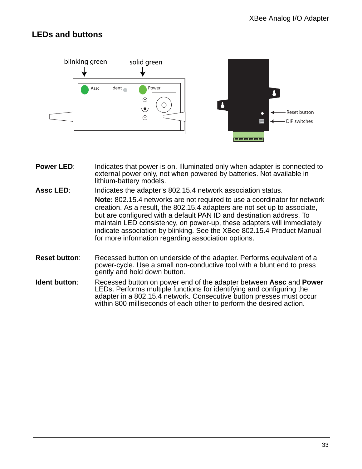## **LEDs and buttons**



- **Power LED:** Indicates that power is on. Illuminated only when adapter is connected to external power only, not when powered by batteries. Not available in lithium-battery models.
- **Assc LED**: Indicates the adapter's 802.15.4 network association status. **Note:** 802.15.4 networks are not required to use a coordinator for network creation. As a result, the 802.15.4 adapters are not set up to associate, but are configured with a default PAN ID and destination address. To maintain LED consistency, on power-up, these adapters will immediately indicate association by blinking. See the XBee 802.15.4 Product Manual for more information regarding association options.
- **Reset button:** Recessed button on underside of the adapter. Performs equivalent of a power-cycle. Use a small non-conductive tool with a blunt end to press gently and hold down button.
- **Ident button**: Recessed button on power end of the adapter between **Assc** and **Power** LEDs. Performs multiple functions for identifying and configuring the adapter in a 802.15.4 network. Consecutive button presses must occur within 800 milliseconds of each other to perform the desired action.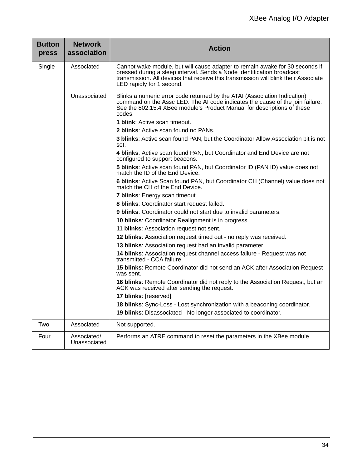| <b>Button</b><br>press | <b>Network</b><br>association | <b>Action</b>                                                                                                                                                                                                                                                              |
|------------------------|-------------------------------|----------------------------------------------------------------------------------------------------------------------------------------------------------------------------------------------------------------------------------------------------------------------------|
| Single                 | Associated                    | Cannot wake module, but will cause adapter to remain awake for 30 seconds if<br>pressed during a sleep interval. Sends a Node Identification broadcast<br>transmission. All devices that receive this transmission will blink their Associate<br>LED rapidly for 1 second. |
|                        | Unassociated                  | Blinks a numeric error code returned by the ATAI (Association Indication)<br>command on the Assc LED. The AI code indicates the cause of the join failure.<br>See the 802.15.4 XBee module's Product Manual for descriptions of these<br>codes.                            |
|                        |                               | <b>1 blink:</b> Active scan timeout.                                                                                                                                                                                                                                       |
|                        |                               | 2 blinks: Active scan found no PANs.                                                                                                                                                                                                                                       |
|                        |                               | 3 blinks: Active scan found PAN, but the Coordinator Allow Association bit is not<br>set.                                                                                                                                                                                  |
|                        |                               | 4 blinks: Active scan found PAN, but Coordinator and End Device are not<br>configured to support beacons.                                                                                                                                                                  |
|                        |                               | 5 blinks: Active scan found PAN, but Coordinator ID (PAN ID) value does not<br>match the ID of the End Device.                                                                                                                                                             |
|                        |                               | 6 blinks: Active Scan found PAN, but Coordinator CH (Channel) value does not<br>match the CH of the End Device.                                                                                                                                                            |
|                        |                               | 7 blinks: Energy scan timeout.                                                                                                                                                                                                                                             |
|                        |                               | 8 blinks: Coordinator start request failed.                                                                                                                                                                                                                                |
|                        |                               | 9 blinks: Coordinator could not start due to invalid parameters.                                                                                                                                                                                                           |
|                        |                               | 10 blinks: Coordinator Realignment is in progress.                                                                                                                                                                                                                         |
|                        |                               | 11 blinks: Association request not sent.                                                                                                                                                                                                                                   |
|                        |                               | 12 blinks: Association request timed out - no reply was received.                                                                                                                                                                                                          |
|                        |                               | 13 blinks: Association request had an invalid parameter.                                                                                                                                                                                                                   |
|                        |                               | 14 blinks: Association request channel access failure - Request was not<br>transmitted - CCA failure.                                                                                                                                                                      |
|                        |                               | 15 blinks: Remote Coordinator did not send an ACK after Association Request<br>was sent.                                                                                                                                                                                   |
|                        |                               | 16 blinks: Remote Coordinator did not reply to the Association Request, but an<br>ACK was received after sending the request.                                                                                                                                              |
|                        |                               | 17 blinks: [reserved].                                                                                                                                                                                                                                                     |
|                        |                               | 18 blinks: Sync-Loss - Lost synchronization with a beaconing coordinator.                                                                                                                                                                                                  |
|                        |                               | 19 blinks: Disassociated - No longer associated to coordinator.                                                                                                                                                                                                            |
| Two                    | Associated                    | Not supported.                                                                                                                                                                                                                                                             |
| Four                   | Associated/<br>Unassociated   | Performs an ATRE command to reset the parameters in the XBee module.                                                                                                                                                                                                       |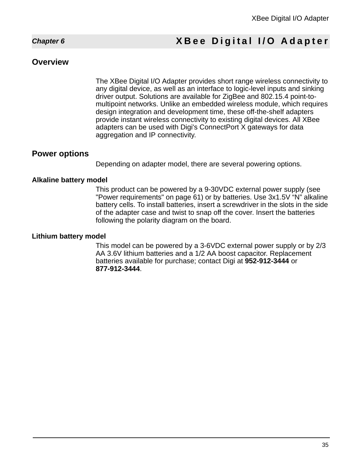## <span id="page-34-0"></span>*Chapter 6* **XBee Digital I/O Adapter**

#### **Overview**

The XBee Digital I/O Adapter provides short range wireless connectivity to any digital device, as well as an interface to logic-level inputs and sinking driver output. Solutions are available for ZigBee and 802.15.4 point-tomultipoint networks. Unlike an embedded wireless module, which requires design integration and development time, these off-the-shelf adapters provide instant wireless connectivity to existing digital devices. All XBee adapters can be used with Digi's ConnectPort X gateways for data aggregation and IP connectivity.

#### **Power options**

Depending on adapter model, there are several powering options.

#### **Alkaline battery model**

This product can be powered by a 9-30VDC external power supply (see ["Power requirements" on page 61](#page-60-0)) or by batteries. Use 3x1.5V "N" alkaline battery cells. To install batteries, insert a screwdriver in the slots in the side of the adapter case and twist to snap off the cover. Insert the batteries following the polarity diagram on the board.

#### **Lithium battery model**

This model can be powered by a 3-6VDC external power supply or by 2/3 AA 3.6V lithium batteries and a 1/2 AA boost capacitor. Replacement batteries available for purchase; contact Digi at **952-912-3444** or **877-912-3444**.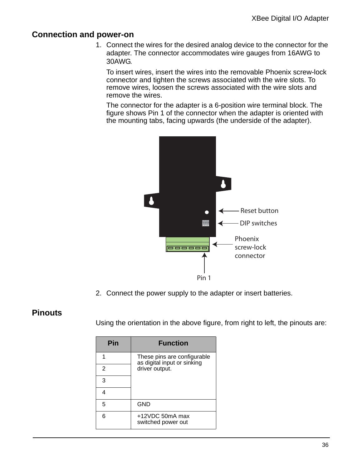### **Connection and power-on**

1. Connect the wires for the desired analog device to the connector for the adapter. The connector accommodates wire gauges from 16AWG to 30AWG.

To insert wires, insert the wires into the removable Phoenix screw-lock connector and tighten the screws associated with the wire slots. To remove wires, loosen the screws associated with the wire slots and remove the wires.

The connector for the adapter is a 6-position wire terminal block. The figure shows Pin 1 of the connector when the adapter is oriented with the mounting tabs, facing upwards (the underside of the adapter).



2. Connect the power supply to the adapter or insert batteries.

#### **Pinouts**

Using the orientation in the above figure, from right to left, the pinouts are:

| Pin | <b>Function</b>                                            |
|-----|------------------------------------------------------------|
|     | These pins are configurable<br>as digital input or sinking |
| 2   | driver output.                                             |
| 3   |                                                            |
|     |                                                            |
| 5   | <b>GND</b>                                                 |
| 6   | +12VDC 50mA max<br>switched power out                      |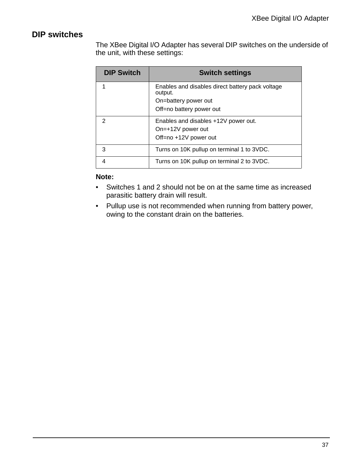## **DIP switches**

The XBee Digital I/O Adapter has several DIP switches on the underside of the unit, with these settings:

| <b>DIP Switch</b> | <b>Switch settings</b>                                      |
|-------------------|-------------------------------------------------------------|
| 1                 | Enables and disables direct battery pack voltage<br>output. |
|                   | On=battery power out                                        |
|                   | Off=no battery power out                                    |
| 2                 | Enables and disables +12V power out.                        |
|                   | On=+12V power out                                           |
|                   | Off=no +12V power out                                       |
| 3                 | Turns on 10K pullup on terminal 1 to 3VDC.                  |
| 4                 | Turns on 10K pullup on terminal 2 to 3VDC.                  |

#### **Note:**

- Switches 1 and 2 should not be on at the same time as increased parasitic battery drain will result.
- Pullup use is not recommended when running from battery power, owing to the constant drain on the batteries.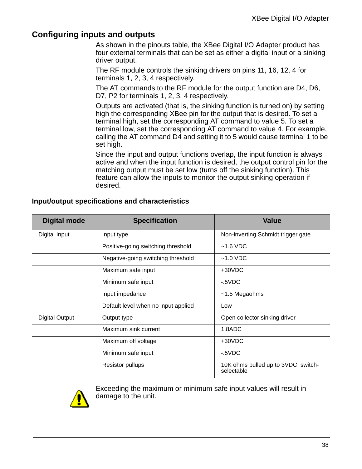### **Configuring inputs and outputs**

As shown in the pinouts table, the XBee Digital I/O Adapter product has four external terminals that can be set as either a digital input or a sinking driver output.

The RF module controls the sinking drivers on pins 11, 16, 12, 4 for terminals 1, 2, 3, 4 respectively.

The AT commands to the RF module for the output function are D4, D6, D7, P2 for terminals 1, 2, 3, 4 respectively.

Outputs are activated (that is, the sinking function is turned on) by setting high the corresponding XBee pin for the output that is desired. To set a terminal high, set the corresponding AT command to value 5. To set a terminal low, set the corresponding AT command to value 4. For example, calling the AT command D4 and setting it to 5 would cause terminal 1 to be set high.

Since the input and output functions overlap, the input function is always active and when the input function is desired, the output control pin for the matching output must be set low (turns off the sinking function). This feature can allow the inputs to monitor the output sinking operation if desired.

| <b>Digital mode</b>   | <b>Specification</b>                | <b>Value</b>                                      |
|-----------------------|-------------------------------------|---------------------------------------------------|
| Digital Input         | Input type                          | Non-inverting Schmidt trigger gate                |
|                       | Positive-going switching threshold  | $~1.6$ VDC                                        |
|                       | Negative-going switching threshold  | $~1.0$ VDC                                        |
|                       | Maximum safe input                  | +30VDC                                            |
|                       | Minimum safe input                  | $-5VDC$                                           |
|                       | Input impedance                     | ~1.5 Megaohms                                     |
|                       | Default level when no input applied | Low                                               |
| <b>Digital Output</b> | Output type                         | Open collector sinking driver                     |
|                       | Maximum sink current                | 1.8ADC                                            |
|                       | Maximum off voltage                 | +30VDC                                            |
|                       | Minimum safe input                  | $-5VDC$                                           |
|                       | <b>Resistor pullups</b>             | 10K ohms pulled up to 3VDC; switch-<br>selectable |

#### **Input/output specifications and characteristics**



Exceeding the maximum or minimum safe input values will result in damage to the unit.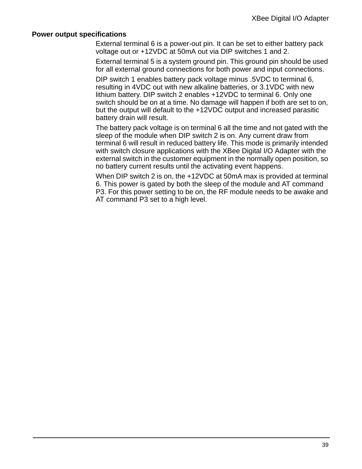#### **Power output specifications**

External terminal 6 is a power-out pin. It can be set to either battery pack voltage out or +12VDC at 50mA out via DIP switches 1 and 2.

External terminal 5 is a system ground pin. This ground pin should be used for all external ground connections for both power and input connections.

DIP switch 1 enables battery pack voltage minus .5VDC to terminal 6, resulting in 4VDC out with new alkaline batteries, or 3.1VDC with new lithium battery. DIP switch 2 enables +12VDC to terminal 6. Only one switch should be on at a time. No damage will happen if both are set to on, but the output will default to the +12VDC output and increased parasitic battery drain will result.

The battery pack voltage is on terminal 6 all the time and not gated with the sleep of the module when DIP switch 2 is on. Any current draw from terminal 6 will result in reduced battery life. This mode is primarily intended with switch closure applications with the XBee Digital I/O Adapter with the external switch in the customer equipment in the normally open position, so no battery current results until the activating event happens.

When DIP switch 2 is on, the +12VDC at 50mA max is provided at terminal 6. This power is gated by both the sleep of the module and AT command P3. For this power setting to be on, the RF module needs to be awake and AT command P3 set to a high level.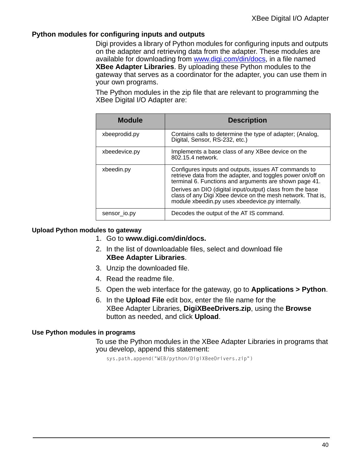#### **Python modules for configuring inputs and outputs**

Digi provides a library of Python modules for configuring inputs and outputs on the adapter and retrieving data from the adapter. These modules are available for downloading from www.digi.com/din/docs, in a file named **XBee Adapter Libraries**. By uploading these Python modules to the gateway that serves as a coordinator for the adapter, you can use them in your own programs.

The Python modules in the zip file that are relevant to programming the XBee Digital I/O Adapter are:

| <b>Module</b> | <b>Description</b>                                                                                                                                                            |
|---------------|-------------------------------------------------------------------------------------------------------------------------------------------------------------------------------|
| xbeeprodid.py | Contains calls to determine the type of adapter; (Analog,<br>Digital, Sensor, RS-232, etc.)                                                                                   |
| xbeedevice.py | Implements a base class of any XBee device on the<br>802.15.4 network.                                                                                                        |
| xbeedin.py    | Configures inputs and outputs, issues AT commands to<br>retrieve data from the adapter, and toggles power on/off on<br>terminal 6. Functions and arguments are shown page 41. |
|               | Derives an DIO (digital input/output) class from the base<br>class of any Digi Xbee device on the mesh network. That is,<br>module xbeedin.py uses xbeedevice.py internally.  |
| sensor io.py  | Decodes the output of the AT IS command.                                                                                                                                      |

#### **Upload Python modules to gateway**

- 1. Go to **www.digi.com/din/docs.**
- 2. In the list of downloadable files, select and download file **XBee Adapter Libraries**.
- 3. Unzip the downloaded file.
- 4. Read the readme file.
- 5. Open the web interface for the gateway, go to **Applications > Python**.
- 6. In the **Upload File** edit box, enter the file name for the XBee Adapter Libraries, **DigiXBeeDrivers.zip**, using the **Browse** button as needed, and click **Upload**.

#### **Use Python modules in programs**

To use the Python modules in the XBee Adapter Libraries in programs that you develop, append this statement:

sys.path.append("WEB/python/DigiXBeeDrivers.zip")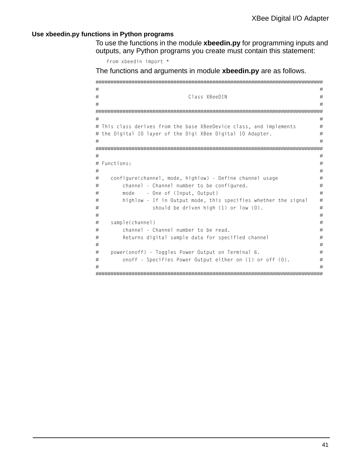#### <span id="page-40-0"></span>**Use xbeedin.py functions in Python programs**

To use the functions in the module **xbeedin.py** for programming inputs and outputs, any Python programs you create must contain this statement:

from xbeedin import \*

The functions and arguments in module **xbeedin.py** are as follows.

```
############################################################################
# #
# Class XBeeDIN #
# #
############################################################################
# #
# This class derives from the base XBeeDevice class, and implements #
# the Digital IO layer of the Digi XBee Digital IO Adapter. #
# #
############################################################################
# #
# Functions: #
# #
# configure(channel, mode, highlow) - Define channel usage \## channel - Channel number to be configured. # \## mode - One of (Input, Output) # \## highlow - If in Output mode, this specifies whether the signal #
# should be driven high (1) or low (0). #
# #
# sample(channel) #
# channel - Channel number to be read. #
# Returns digital sample data for specified channel # \qquad #
# #
# power(onoff) - Toggles Power Output on Terminal 6. \## onoff - Specifies Power Output either on (1) or off (0). #
# #
############################################################################
```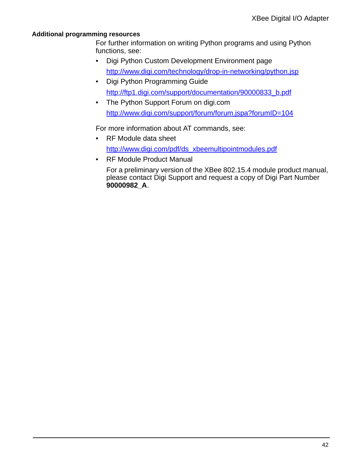#### **Additional programming resources**

For further information on writing Python programs and using Python functions, see:

- Digi Python Custom Development Environment page http://www.digi.com/technology/drop-in-networking/python.jsp
- Digi Python Programming Guide http://ftp1.digi.com/support/documentation/90000833\_b.pdf
- The Python Support Forum on digi.com http://www.digi.com/support/forum/forum.jspa?forumID=104

For more information about AT commands, see:

- RF Module data sheet http://www.digi.com/pdf/ds\_xbeemultipointmodules.pdf
- RF Module Product Manual

For a preliminary version of the XBee 802.15.4 module product manual, please contact Digi Support and request a copy of Digi Part Number **90000982\_A**.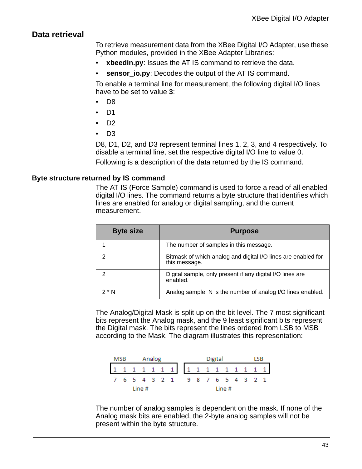## **Data retrieval**

To retrieve measurement data from the XBee Digital I/O Adapter, use these Python modules, provided in the XBee Adapter Libraries:

- **xbeedin.py**: Issues the AT IS command to retrieve the data.
- **sensor\_io.py:** Decodes the output of the AT IS command.

To enable a terminal line for measurement, the following digital I/O lines have to be set to value **3**:

- D8
- D1
- D2
- D3

D8, D1, D2, and D3 represent terminal lines 1, 2, 3, and 4 respectively. To disable a terminal line, set the respective digital I/O line to value 0.

Following is a description of the data returned by the IS command.

#### **Byte structure returned by IS command**

The AT IS (Force Sample) command is used to force a read of all enabled digital I/O lines. The command returns a byte structure that identifies which lines are enabled for analog or digital sampling, and the current measurement.

| <b>Byte size</b> | <b>Purpose</b>                                                                 |
|------------------|--------------------------------------------------------------------------------|
|                  | The number of samples in this message.                                         |
|                  | Bitmask of which analog and digital I/O lines are enabled for<br>this message. |
|                  | Digital sample, only present if any digital I/O lines are<br>enabled.          |
| 2 N              | Analog sample; N is the number of analog I/O lines enabled.                    |

The Analog/Digital Mask is split up on the bit level. The 7 most significant bits represent the Analog mask, and the 9 least significant bits represent the Digital mask. The bits represent the lines ordered from LSB to MSB according to the Mask. The diagram illustrates this representation:

|                                 | MSB |  |        |  |  | Analog |  |  |  | Digital |        |  | I SB |  |
|---------------------------------|-----|--|--------|--|--|--------|--|--|--|---------|--------|--|------|--|
|                                 |     |  |        |  |  |        |  |  |  |         |        |  |      |  |
| 7 6 5 4 3 2 1 9 8 7 6 5 4 3 2 1 |     |  |        |  |  |        |  |  |  |         |        |  |      |  |
|                                 |     |  | Line # |  |  |        |  |  |  |         | Line # |  |      |  |

The number of analog samples is dependent on the mask. If none of the Analog mask bits are enabled, the 2-byte analog samples will not be present within the byte structure.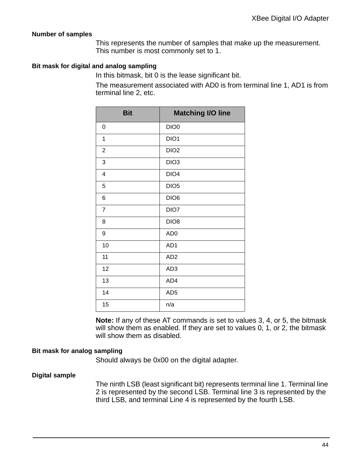#### **Number of samples**

This represents the number of samples that make up the measurement. This number is most commonly set to 1.

#### **Bit mask for digital and analog sampling**

In this bitmask, bit 0 is the lease significant bit.

The measurement associated with AD0 is from terminal line 1, AD1 is from terminal line 2, etc.

| <b>Bit</b>              | <b>Matching I/O line</b> |
|-------------------------|--------------------------|
| 0                       | DIO <sub>0</sub>         |
| $\mathbf 1$             | DIO1                     |
| $\boldsymbol{2}$        | DIO <sub>2</sub>         |
| 3                       | DIO <sub>3</sub>         |
| $\overline{\mathbf{4}}$ | DIO <sub>4</sub>         |
| 5                       | DIO <sub>5</sub>         |
| 6                       | DIO <sub>6</sub>         |
| $\overline{7}$          | DIO7                     |
| 8                       | DIO <sub>8</sub>         |
| 9                       | AD <sub>0</sub>          |
| 10                      | AD1                      |
| 11                      | AD <sub>2</sub>          |
| 12                      | AD <sub>3</sub>          |
| 13                      | AD4                      |
| 14                      | AD <sub>5</sub>          |
| 15                      | n/a                      |

**Note:** If any of these AT commands is set to values 3, 4, or 5, the bitmask will show them as enabled. If they are set to values 0, 1, or 2, the bitmask will show them as disabled.

#### **Bit mask for analog sampling**

Should always be 0x00 on the digital adapter.

#### **Digital sample**

The ninth LSB (least significant bit) represents terminal line 1. Terminal line 2 is represented by the second LSB. Terminal line 3 is represented by the third LSB, and terminal Line 4 is represented by the fourth LSB.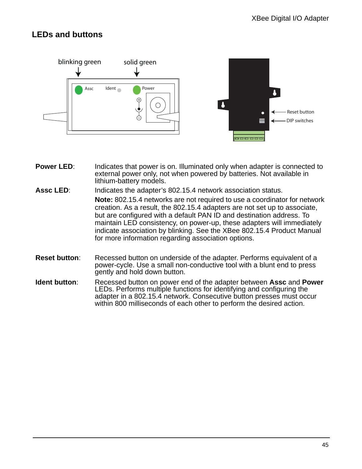## **LEDs and buttons**



- **Power LED:** Indicates that power is on. Illuminated only when adapter is connected to external power only, not when powered by batteries. Not available in lithium-battery models.
- **Assc LED**: Indicates the adapter's 802.15.4 network association status. **Note:** 802.15.4 networks are not required to use a coordinator for network creation. As a result, the 802.15.4 adapters are not set up to associate, but are configured with a default PAN ID and destination address. To maintain LED consistency, on power-up, these adapters will immediately indicate association by blinking. See the XBee 802.15.4 Product Manual for more information regarding association options.
- **Reset button:** Recessed button on underside of the adapter. Performs equivalent of a power-cycle. Use a small non-conductive tool with a blunt end to press gently and hold down button.
- **Ident button**: Recessed button on power end of the adapter between **Assc** and **Power** LEDs. Performs multiple functions for identifying and configuring the adapter in a 802.15.4 network. Consecutive button presses must occur within 800 milliseconds of each other to perform the desired action.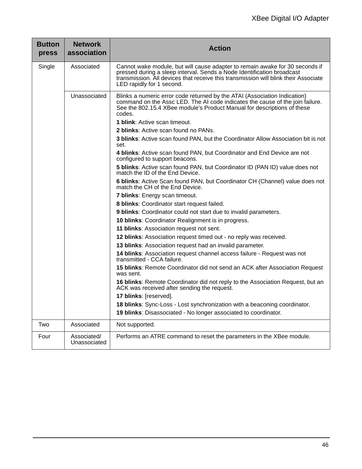| <b>Button</b><br>press | <b>Network</b><br>association | <b>Action</b>                                                                                                                                                                                                                                                                           |
|------------------------|-------------------------------|-----------------------------------------------------------------------------------------------------------------------------------------------------------------------------------------------------------------------------------------------------------------------------------------|
| Single                 | Associated                    | Cannot wake module, but will cause adapter to remain awake for 30 seconds if<br>pressed during a sleep interval. Sends a Node Identification broadcast<br>transmission. All devices that receive this transmission will blink their Associate<br>LED rapidly for 1 second.              |
|                        | Unassociated                  | Blinks a numeric error code returned by the ATAI (Association Indication)<br>command on the Assc LED. The AI code indicates the cause of the join failure.<br>See the 802.15.4 XBee module's Product Manual for descriptions of these<br>codes.<br><b>1 blink:</b> Active scan timeout. |
|                        |                               | 2 blinks: Active scan found no PANs.                                                                                                                                                                                                                                                    |
|                        |                               | 3 blinks: Active scan found PAN, but the Coordinator Allow Association bit is not<br>set.                                                                                                                                                                                               |
|                        |                               | 4 blinks: Active scan found PAN, but Coordinator and End Device are not<br>configured to support beacons.                                                                                                                                                                               |
|                        |                               | 5 blinks: Active scan found PAN, but Coordinator ID (PAN ID) value does not<br>match the ID of the End Device.                                                                                                                                                                          |
|                        |                               | 6 blinks: Active Scan found PAN, but Coordinator CH (Channel) value does not<br>match the CH of the End Device.                                                                                                                                                                         |
|                        |                               | 7 blinks: Energy scan timeout.                                                                                                                                                                                                                                                          |
|                        |                               | 8 blinks: Coordinator start request failed.                                                                                                                                                                                                                                             |
|                        |                               | 9 blinks: Coordinator could not start due to invalid parameters.                                                                                                                                                                                                                        |
|                        |                               | 10 blinks: Coordinator Realignment is in progress.                                                                                                                                                                                                                                      |
|                        |                               | 11 blinks: Association request not sent.                                                                                                                                                                                                                                                |
|                        |                               | 12 blinks: Association request timed out - no reply was received.                                                                                                                                                                                                                       |
|                        |                               | 13 blinks: Association request had an invalid parameter.                                                                                                                                                                                                                                |
|                        |                               | 14 blinks: Association request channel access failure - Request was not<br>transmitted - CCA failure.                                                                                                                                                                                   |
|                        |                               | 15 blinks: Remote Coordinator did not send an ACK after Association Request<br>was sent.                                                                                                                                                                                                |
|                        |                               | 16 blinks: Remote Coordinator did not reply to the Association Request, but an<br>ACK was received after sending the request.                                                                                                                                                           |
|                        |                               | 17 blinks: [reserved].                                                                                                                                                                                                                                                                  |
|                        |                               | 18 blinks: Sync-Loss - Lost synchronization with a beaconing coordinator.                                                                                                                                                                                                               |
|                        |                               | 19 blinks: Disassociated - No longer associated to coordinator.                                                                                                                                                                                                                         |
| Two                    | Associated                    | Not supported.                                                                                                                                                                                                                                                                          |
| Four                   | Associated/<br>Unassociated   | Performs an ATRE command to reset the parameters in the XBee module.                                                                                                                                                                                                                    |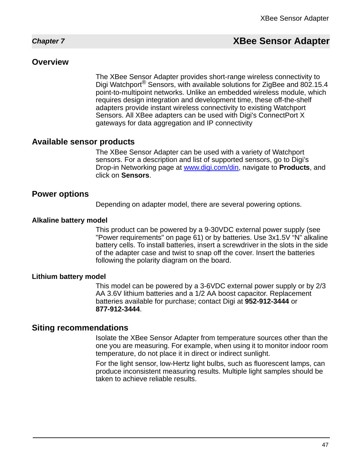## <span id="page-46-0"></span>*Chapter 7* **XBee Sensor Adapter**

#### **Overview**

The XBee Sensor Adapter provides short-range wireless connectivity to Digi Watchport<sup>®</sup> Sensors, with available solutions for ZigBee and 802.15.4 point-to-multipoint networks. Unlike an embedded wireless module, which requires design integration and development time, these off-the-shelf adapters provide instant wireless connectivity to existing Watchport Sensors. All XBee adapters can be used with Digi's ConnectPort X gateways for data aggregation and IP connectivity

#### **Available sensor products**

The XBee Sensor Adapter can be used with a variety of Watchport sensors. For a description and list of supported sensors, go to Digi's Drop-in Networking page at www.digi.com/din, navigate to **Products**, and click on **Sensors**.

#### **Power options**

Depending on adapter model, there are several powering options.

#### **Alkaline battery model**

This product can be powered by a 9-30VDC external power supply (see ["Power requirements" on page 61](#page-60-0)) or by batteries. Use 3x1.5V "N" alkaline battery cells. To install batteries, insert a screwdriver in the slots in the side of the adapter case and twist to snap off the cover. Insert the batteries following the polarity diagram on the board.

#### **Lithium battery model**

This model can be powered by a 3-6VDC external power supply or by 2/3 AA 3.6V lithium batteries and a 1/2 AA boost capacitor. Replacement batteries available for purchase; contact Digi at **952-912-3444** or **877-912-3444**.

#### **Siting recommendations**

Isolate the XBee Sensor Adapter from temperature sources other than the one you are measuring. For example, when using it to monitor indoor room temperature, do not place it in direct or indirect sunlight.

For the light sensor, low-Hertz light bulbs, such as fluorescent lamps, can produce inconsistent measuring results. Multiple light samples should be taken to achieve reliable results.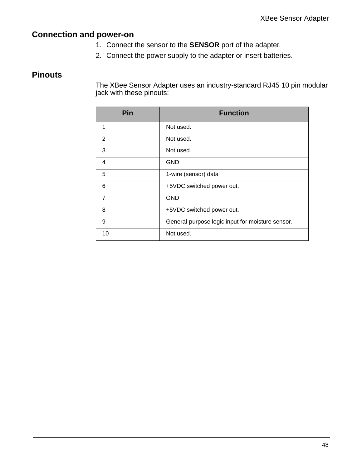## **Connection and power-on**

- 1. Connect the sensor to the **SENSOR** port of the adapter.
- 2. Connect the power supply to the adapter or insert batteries.

## **Pinouts**

The XBee Sensor Adapter uses an industry-standard RJ45 10 pin modular jack with these pinouts:

| Pin            | <b>Function</b>                                  |
|----------------|--------------------------------------------------|
| 1              | Not used.                                        |
| 2              | Not used.                                        |
| 3              | Not used.                                        |
| 4              | GND                                              |
| 5              | 1-wire (sensor) data                             |
| 6              | +5VDC switched power out.                        |
| $\overline{7}$ | <b>GND</b>                                       |
| 8              | +5VDC switched power out.                        |
| 9              | General-purpose logic input for moisture sensor. |
| 10             | Not used.                                        |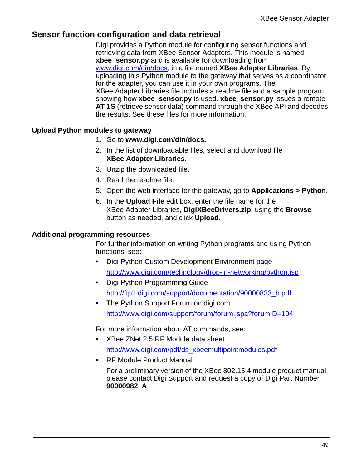### **Sensor function configuration and data retrieval**

Digi provides a Python module for configuring sensor functions and retrieving data from XBee Sensor Adapters. This module is named **xbee\_sensor.py** and is available for downloading from www.digi.com/din/docs, in a file named **XBee Adapter Libraries**. By uploading this Python module to the gateway that serves as a coordinator for the adapter, you can use it in your own programs. The XBee Adapter Libraries file includes a readme file and a sample program showing how **xbee\_sensor.py** is used. **xbee\_sensor.py** issues a remote **AT 1S** (retrieve sensor data) command through the XBee API and decodes the results. See these files for more information.

#### **Upload Python modules to gateway**

- 1. Go to **www.digi.com/din/docs.**
- 2. In the list of downloadable files, select and download file **XBee Adapter Libraries**.
- 3. Unzip the downloaded file.
- 4. Read the readme file.
- 5. Open the web interface for the gateway, go to **Applications > Python**.
- 6. In the **Upload File** edit box, enter the file name for the XBee Adapter Libraries, **DigiXBeeDrivers.zip**, using the **Browse** button as needed, and click **Upload**.

#### **Additional programming resources**

For further information on writing Python programs and using Python functions, see:

- Digi Python Custom Development Environment page http://www.digi.com/technology/drop-in-networking/python.jsp
- Digi Python Programming Guide http://ftp1.digi.com/support/documentation/90000833\_b.pdf
- The Python Support Forum on digi.com http://www.digi.com/support/forum/forum.jspa?forumID=104

For more information about AT commands, see:

- XBee ZNet 2.5 RF Module data sheet http://www.digi.com/pdf/ds\_xbeemultipointmodules.pdf
- RF Module Product Manual

For a preliminary version of the XBee 802.15.4 module product manual, please contact Digi Support and request a copy of Digi Part Number **90000982\_A**.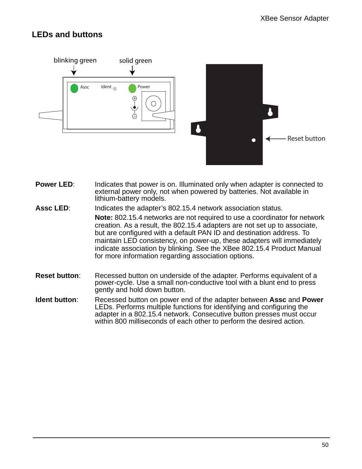## **LEDs and buttons**



- **Power LED:** Indicates that power is on. Illuminated only when adapter is connected to external power only, not when powered by batteries. Not available in lithium-battery models.
- **Assc LED**: Indicates the adapter's 802.15.4 network association status. **Note:** 802.15.4 networks are not required to use a coordinator for network creation. As a result, the 802.15.4 adapters are not set up to associate, but are configured with a default PAN ID and destination address. To maintain LED consistency, on power-up, these adapters will immediately indicate association by blinking. See the XBee 802.15.4 Product Manual for more information regarding association options.
- **Reset button:** Recessed button on underside of the adapter. Performs equivalent of a power-cycle. Use a small non-conductive tool with a blunt end to press gently and hold down button.
- **Ident button**: Recessed button on power end of the adapter between **Assc** and **Power** LEDs. Performs multiple functions for identifying and configuring the adapter in a 802.15.4 network. Consecutive button presses must occur within 800 milliseconds of each other to perform the desired action.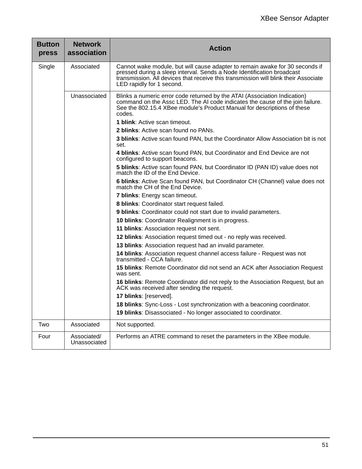| <b>Button</b><br>press | <b>Network</b><br>association | <b>Action</b>                                                                                                                                                                                                                                                              |
|------------------------|-------------------------------|----------------------------------------------------------------------------------------------------------------------------------------------------------------------------------------------------------------------------------------------------------------------------|
| Single                 | Associated                    | Cannot wake module, but will cause adapter to remain awake for 30 seconds if<br>pressed during a sleep interval. Sends a Node Identification broadcast<br>transmission. All devices that receive this transmission will blink their Associate<br>LED rapidly for 1 second. |
|                        | Unassociated                  | Blinks a numeric error code returned by the ATAI (Association Indication)<br>command on the Assc LED. The AI code indicates the cause of the join failure.<br>See the 802.15.4 XBee module's Product Manual for descriptions of these<br>codes.                            |
|                        |                               | <b>1 blink:</b> Active scan timeout.                                                                                                                                                                                                                                       |
|                        |                               | 2 blinks: Active scan found no PANs.                                                                                                                                                                                                                                       |
|                        |                               | 3 blinks: Active scan found PAN, but the Coordinator Allow Association bit is not<br>set.                                                                                                                                                                                  |
|                        |                               | 4 blinks: Active scan found PAN, but Coordinator and End Device are not<br>configured to support beacons.                                                                                                                                                                  |
|                        |                               | 5 blinks: Active scan found PAN, but Coordinator ID (PAN ID) value does not<br>match the ID of the End Device.                                                                                                                                                             |
|                        |                               | 6 blinks: Active Scan found PAN, but Coordinator CH (Channel) value does not<br>match the CH of the End Device.                                                                                                                                                            |
|                        |                               | 7 blinks: Energy scan timeout.                                                                                                                                                                                                                                             |
|                        |                               | 8 blinks: Coordinator start request failed.                                                                                                                                                                                                                                |
|                        |                               | 9 blinks: Coordinator could not start due to invalid parameters.                                                                                                                                                                                                           |
|                        |                               | 10 blinks: Coordinator Realignment is in progress.                                                                                                                                                                                                                         |
|                        |                               | 11 blinks: Association request not sent.                                                                                                                                                                                                                                   |
|                        |                               | 12 blinks: Association request timed out - no reply was received.                                                                                                                                                                                                          |
|                        |                               | 13 blinks: Association request had an invalid parameter.                                                                                                                                                                                                                   |
|                        |                               | 14 blinks: Association request channel access failure - Request was not<br>transmitted - CCA failure.                                                                                                                                                                      |
|                        |                               | 15 blinks: Remote Coordinator did not send an ACK after Association Request<br>was sent.                                                                                                                                                                                   |
|                        |                               | 16 blinks: Remote Coordinator did not reply to the Association Request, but an<br>ACK was received after sending the request.                                                                                                                                              |
|                        |                               | 17 blinks: [reserved].                                                                                                                                                                                                                                                     |
|                        |                               | 18 blinks: Sync-Loss - Lost synchronization with a beaconing coordinator.                                                                                                                                                                                                  |
|                        |                               | 19 blinks: Disassociated - No longer associated to coordinator.                                                                                                                                                                                                            |
| Two                    | Associated                    | Not supported.                                                                                                                                                                                                                                                             |
| Four                   | Associated/<br>Unassociated   | Performs an ATRE command to reset the parameters in the XBee module.                                                                                                                                                                                                       |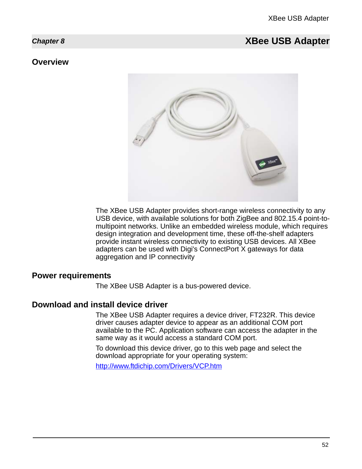## <span id="page-51-0"></span>*Chapter 8* **XBee USB Adapter**

#### **Overview**



The XBee USB Adapter provides short-range wireless connectivity to any USB device, with available solutions for both ZigBee and 802.15.4 point-tomultipoint networks. Unlike an embedded wireless module, which requires design integration and development time, these off-the-shelf adapters provide instant wireless connectivity to existing USB devices. All XBee adapters can be used with Digi's ConnectPort X gateways for data aggregation and IP connectivity

### **Power requirements**

The XBee USB Adapter is a bus-powered device.

#### **Download and install device driver**

The XBee USB Adapter requires a device driver, FT232R. This device driver causes adapter device to appear as an additional COM port available to the PC. Application software can access the adapter in the same way as it would access a standard COM port.

To download this device driver, go to this web page and select the download appropriate for your operating system:

http://www.ftdichip.com/Drivers/VCP.htm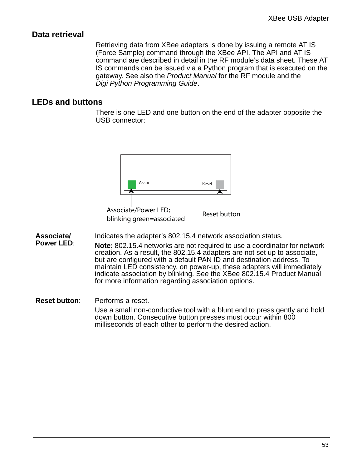#### **Data retrieval**

Retrieving data from XBee adapters is done by issuing a remote AT IS (Force Sample) command through the XBee API. The API and AT IS command are described in detail in the RF module's data sheet. These AT IS commands can be issued via a Python program that is executed on the gateway. See also the *Product Manual* for the RF module and the *Digi Python Programming Guide*.

### **LEDs and buttons**

There is one LED and one button on the end of the adapter opposite the USB connector:



**Associate/** Indicates the adapter's 802.15.4 network association status.

**Power LED**: **Note:** 802.15.4 networks are not required to use a coordinator for network creation. As a result, the 802.15.4 adapters are not set up to associate, but are configured with a default PAN ID and destination address. To maintain LED consistency, on power-up, these adapters will immediately indicate association by blinking. See the XBee 802.15.4 Product Manual for more information regarding association options.

**Reset button**: Performs a reset. Use a small non-conductive tool with a blunt end to press gently and hold down button. Consecutive button presses must occur within 800 milliseconds of each other to perform the desired action.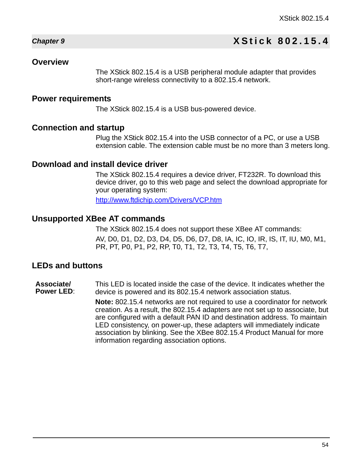## *Chapter 9* **XStick 802.15.4**

#### **Overview**

<span id="page-53-0"></span>The XStick 802.15.4 is a USB peripheral module adapter that provides short-range wireless connectivity to a 802.15.4 network.

#### **Power requirements**

The XStick 802.15.4 is a USB bus-powered device.

#### **Connection and startup**

Plug the XStick 802.15.4 into the USB connector of a PC, or use a USB extension cable. The extension cable must be no more than 3 meters long.

## **Download and install device driver**

The XStick 802.15.4 requires a device driver, FT232R. To download this device driver, go to this web page and select the download appropriate for your operating system:

http://www.ftdichip.com/Drivers/VCP.htm

#### **Unsupported XBee AT commands**

The XStick 802.15.4 does not support these XBee AT commands: AV, D0, D1, D2, D3, D4, D5, D6, D7, D8, IA, IC, IO, IR, IS, IT, IU, M0, M1, PR, PT, P0, P1, P2, RP, T0, T1, T2, T3, T4, T5, T6, T7,

#### **LEDs and buttons**

**Associate/ Power LED**: This LED is located inside the case of the device. It indicates whether the device is powered and its 802.15.4 network association status.

> **Note:** 802.15.4 networks are not required to use a coordinator for network creation. As a result, the 802.15.4 adapters are not set up to associate, but are configured with a default PAN ID and destination address. To maintain LED consistency, on power-up, these adapters will immediately indicate association by blinking. See the XBee 802.15.4 Product Manual for more information regarding association options.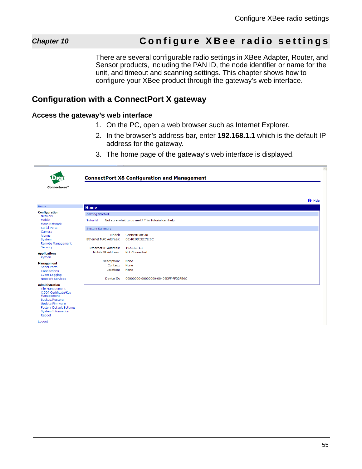## *Chapter 10* **Configure XBee radio settings**

<span id="page-54-0"></span>There are several configurable radio settings in XBee Adapter, Router, and Sensor products, including the PAN ID, the node identifier or name for the unit, and timeout and scanning settings. This chapter shows how to configure your XBee product through the gateway's web interface.

### <span id="page-54-1"></span>**Configuration with a ConnectPort X gateway**

#### <span id="page-54-2"></span>**Access the gateway's web interface**

- 1. On the PC, open a web browser such as Internet Explorer.
- 2. In the browser's address bar, enter **192.168.1.1** which is the default IP address for the gateway.
- 3. The home page of the gateway's web interface is displayed.

| Connectware™                                                                                                                                                                                          |                             | <b>ConnectPort X8 Configuration and Management</b> |               | $\curvearrowright$ |
|-------------------------------------------------------------------------------------------------------------------------------------------------------------------------------------------------------|-----------------------------|----------------------------------------------------|---------------|--------------------|
|                                                                                                                                                                                                       |                             |                                                    | $\theta$ Help |                    |
| Home                                                                                                                                                                                                  | <b>Home</b>                 |                                                    |               |                    |
| <b>Configuration</b>                                                                                                                                                                                  | <b>Getting Started</b>      |                                                    |               |                    |
| Network<br>Mobile<br><b>Mesh Network</b>                                                                                                                                                              | <b>Tutorial</b>             | Not sure what to do next? This Tutorial can help.  |               |                    |
| <b>Serial Ports</b>                                                                                                                                                                                   | <b>System Summary</b>       |                                                    |               |                    |
| Camera<br><b>Alarms</b>                                                                                                                                                                               | Model:                      | ConnectPort X8                                     |               |                    |
| System<br><b>Remote Management</b>                                                                                                                                                                    | Ethernet MAC Address:       | 00:40:9D:32:7E:0C                                  |               |                    |
| Security                                                                                                                                                                                              | <b>Ethernet IP Address:</b> | 192.168.1.1                                        |               |                    |
| <b>Applications</b><br>Python                                                                                                                                                                         | Mobile IP Address:          | <b>Not Connected</b>                               |               |                    |
| <b>Management</b>                                                                                                                                                                                     | Description:                | None                                               |               |                    |
| <b>Serial Ports</b>                                                                                                                                                                                   | Contact:                    | None                                               |               |                    |
| Connections<br><b>Event Logging</b>                                                                                                                                                                   | Location:                   | None                                               |               |                    |
| <b>Network Services</b>                                                                                                                                                                               | Device ID:                  | 00000000-00000000-00409DFF-FF327E0C                |               |                    |
| <b>Administration</b><br><b>File Management</b><br>X.509 Certificate/Key<br>Management<br>Backup/Restore<br><b>Update Firmware</b><br><b>Factory Default Settings</b><br>System Information<br>Reboot |                             |                                                    |               |                    |

Logout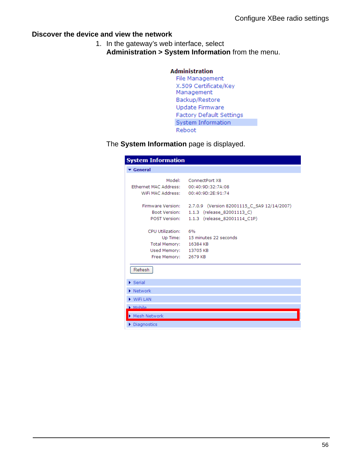#### <span id="page-55-0"></span>**Discover the device and view the network**

- 1. In the gateway's web interface, select **Administration > System Information** from the menu.
	- **Administration** File Management X.509 Certificate/Key Management Backup/Restore Update Firmware Factory Default Settings System Information Reboot

The **System Information** page is displayed.

| <b>System Information</b>                                                                   |                                                                                                           |
|---------------------------------------------------------------------------------------------|-----------------------------------------------------------------------------------------------------------|
| ▼ General                                                                                   |                                                                                                           |
| Model:<br>Ethernet MAC Address:                                                             | ConnectPort X8<br>00:40:9D:32:7A:08                                                                       |
| Firmware Version:<br>Boot Version:<br>POST Version:                                         | 2.7.0.9 (Version 82001115 C SA9 12/14/2007)<br>1.1.3 (release_82001113_C)<br>1.1.3 (release 82001114 C1P) |
| CPU Utilization:<br>Total Memory: 16384 KB<br>Used Memory: 13705 KB<br>Free Memory: 2679 KB | - 6%<br>Up Time: 15 minutes 22 seconds                                                                    |
| Refresh                                                                                     |                                                                                                           |
| $\blacktriangleright$ Serial                                                                |                                                                                                           |
| $\blacktriangleright$ Network                                                               |                                                                                                           |
| $\triangleright$ WiFi LAN                                                                   |                                                                                                           |
| $\blacktriangleright$ Mobile                                                                |                                                                                                           |
| Mesh Network                                                                                |                                                                                                           |
| $\triangleright$ Diagnostics                                                                |                                                                                                           |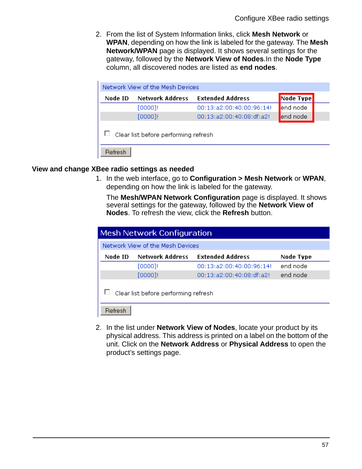2. From the list of System Information links, click **Mesh Network** or **WPAN**, depending on how the link is labeled for the gateway. The **Mesh Network/WPAN** page is displayed. It shows several settings for the gateway, followed by the **Network View of Nodes**.In the **Node Type** column, all discovered nodes are listed as **end nodes**.

| Network View of the Mesh Devices     |                        |                          |           |  |
|--------------------------------------|------------------------|--------------------------|-----------|--|
| Node ID                              | <b>Network Address</b> | <b>Extended Address</b>  | Node Type |  |
|                                      | [0000]!                | 00:13:a2:00:40:00:96:14! | end node  |  |
|                                      | [0000]!                | 00:13:a2:00:40:08:df:a2! | end node  |  |
| Clear list before performing refresh |                        |                          |           |  |
| Refresh                              |                        |                          |           |  |

#### <span id="page-56-0"></span>**View and change XBee radio settings as needed**

1. In the web interface, go to **Configuration > Mesh Network** or **WPAN**, depending on how the link is labeled for the gateway.

The **Mesh/WPAN Network Configuration** page is displayed. It shows several settings for the gateway, followed by the **Network View of Nodes**. To refresh the view, click the **Refresh** button.

| <b>Mesh Network Configuration</b>               |                                  |                          |           |  |  |
|-------------------------------------------------|----------------------------------|--------------------------|-----------|--|--|
|                                                 | Network View of the Mesh Devices |                          |           |  |  |
| Node ID                                         | <b>Network Address</b>           | <b>Extended Address</b>  | Node Type |  |  |
|                                                 | [0000]!                          | 00:13:a2:00:40:00:96:14! | end node  |  |  |
|                                                 | [0000]!                          | 00:13:a2:00:40:08:df:a2! | end node  |  |  |
| Clear list before performing refresh<br>Befresh |                                  |                          |           |  |  |

2. In the list under **Network View of Nodes**, locate your product by its physical address. This address is printed on a label on the bottom of the unit. Click on the **Network Address** or **Physical Address** to open the product's settings page.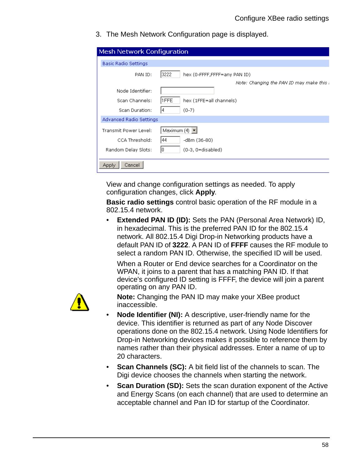3. The Mesh Network Configuration page is displayed.

| <b>Mesh Network Configuration</b> |                                         |
|-----------------------------------|-----------------------------------------|
| <b>Basic Radio Settings</b>       |                                         |
| PAN ID:                           | 3222<br>hex (0-FFFF,FFFF=any PAN ID)    |
|                                   | Note: Changing the PAN ID may make this |
| Node Identifier:                  |                                         |
| Scan Channels:                    | 1FFE<br>hex (1FFE=all channels)         |
| Scan Duration:                    | $(0-7)$<br>14                           |
| Advanced Radio Settings           |                                         |
| Transmit Power Level:             | Maximum (4) $\blacktriangleright$       |
| CCA Threshold:                    | 44<br>-dBm (36-80)                      |
| Random Delay Slots:               | (0-3, 0=disabled)                       |
| Cancel<br>Apply                   |                                         |

View and change configuration settings as needed. To apply configuration changes, click **Apply**.

**Basic radio settings** control basic operation of the RF module in a 802.15.4 network.

• **Extended PAN ID (ID):** Sets the PAN (Personal Area Network) ID, in hexadecimal. This is the preferred PAN ID for the 802.15.4 network. All 802.15.4 Digi Drop-in Networking products have a default PAN ID of **3222**. A PAN ID of **FFFF** causes the RF module to select a random PAN ID. Otherwise, the specified ID will be used.

When a Router or End device searches for a Coordinator on the WPAN, it joins to a parent that has a matching PAN ID. If that device's configured ID setting is FFFF, the device will join a parent operating on any PAN ID.



**Note:** Changing the PAN ID may make your XBee product inaccessible.

- **Node Identifier (NI):** A descriptive, user-friendly name for the device. This identifier is returned as part of any Node Discover operations done on the 802.15.4 network. Using Node Identifiers for Drop-in Networking devices makes it possible to reference them by names rather than their physical addresses. Enter a name of up to 20 characters.
- **Scan Channels (SC):** A bit field list of the channels to scan. The Digi device chooses the channels when starting the network.
- **Scan Duration (SD):** Sets the scan duration exponent of the Active and Energy Scans (on each channel) that are used to determine an acceptable channel and Pan ID for startup of the Coordinator.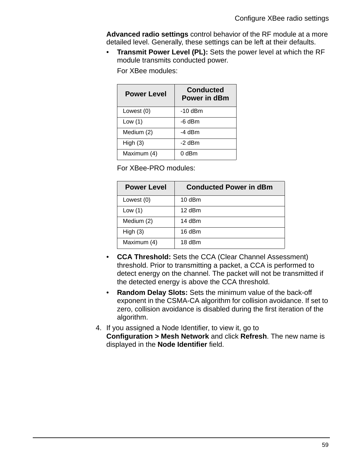**Advanced radio settings** control behavior of the RF module at a more detailed level. Generally, these settings can be left at their defaults.

• **Transmit Power Level (PL):** Sets the power level at which the RF module transmits conducted power.

For XBee modules:

| <b>Power Level</b> | <b>Conducted</b><br>Power in dBm |
|--------------------|----------------------------------|
| Lowest (0)         | -10 dBm                          |
| Low $(1)$          | -6 dBm                           |
| Medium (2)         | -4 dBm                           |
| High $(3)$         | -2 dBm                           |
| Maximum (4)        | $0$ dBm                          |

For XBee-PRO modules:

| <b>Power Level</b> | <b>Conducted Power in dBm</b> |
|--------------------|-------------------------------|
| Lowest (0)         | $10$ dBm                      |
| Low $(1)$          | 12 dBm                        |
| Medium (2)         | 14 dBm                        |
| High $(3)$         | 16 dBm                        |
| Maximum (4)        | 18 dBm                        |

- **CCA Threshold:** Sets the CCA (Clear Channel Assessment) threshold. Prior to transmitting a packet, a CCA is performed to detect energy on the channel. The packet will not be transmitted if the detected energy is above the CCA threshold.
- **Random Delay Slots:** Sets the minimum value of the back-off exponent in the CSMA-CA algorithm for collision avoidance. If set to zero, collision avoidance is disabled during the first iteration of the algorithm.
- 4. If you assigned a Node Identifier, to view it, go to **Configuration > Mesh Network** and click **Refresh**. The new name is displayed in the **Node Identifier** field.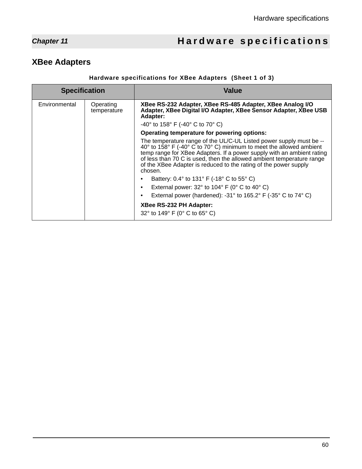## *Chapter 11* **Hardware specifications**

## <span id="page-59-1"></span>**XBee Adapters**

#### <span id="page-59-0"></span>**Hardware specifications for XBee Adapters (Sheet 1 of 3)**

| <b>Specification</b> |                          | Value                                                                                                                                                                                                                                                                                                                                                                        |
|----------------------|--------------------------|------------------------------------------------------------------------------------------------------------------------------------------------------------------------------------------------------------------------------------------------------------------------------------------------------------------------------------------------------------------------------|
| Environmental        | Operating<br>temperature | XBee RS-232 Adapter, XBee RS-485 Adapter, XBee Analog I/O<br>Adapter, XBee Digital I/O Adapter, XBee Sensor Adapter, XBee USB<br>Adapter:                                                                                                                                                                                                                                    |
|                      |                          | $-40^{\circ}$ to 158° F (-40° C to 70° C)                                                                                                                                                                                                                                                                                                                                    |
|                      |                          | Operating temperature for powering options:                                                                                                                                                                                                                                                                                                                                  |
|                      |                          | The temperature range of the UL/C-UL Listed power supply must be --<br>40° to 158° F (-40° C to 70° C) minimum to meet the allowed ambient<br>temp range for XBee Adapters. If a power supply with an ambient rating<br>of less than 70 C is used, then the allowed ambient temperature range<br>of the XBee Adapter is reduced to the rating of the power supply<br>chosen. |
|                      |                          | Battery: 0.4° to 131° F (-18° C to 55° C)                                                                                                                                                                                                                                                                                                                                    |
|                      |                          | External power: $32^{\circ}$ to $104^{\circ}$ F (0° C to $40^{\circ}$ C)<br>٠                                                                                                                                                                                                                                                                                                |
|                      |                          | External power (hardened): -31 $\degree$ to 165.2 $\degree$ F (-35 $\degree$ C to 74 $\degree$ C)                                                                                                                                                                                                                                                                            |
|                      |                          | XBee RS-232 PH Adapter:                                                                                                                                                                                                                                                                                                                                                      |
|                      |                          | 32° to 149° F (0° C to 65° C)                                                                                                                                                                                                                                                                                                                                                |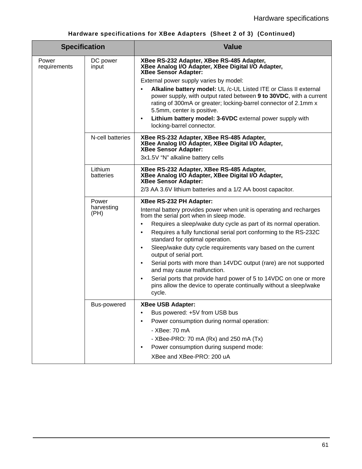<span id="page-60-0"></span>

| <b>Specification</b>  |                             | <b>Value</b>                                                                                                                                                                                                                            |
|-----------------------|-----------------------------|-----------------------------------------------------------------------------------------------------------------------------------------------------------------------------------------------------------------------------------------|
| Power<br>requirements | DC power<br>input           | XBee RS-232 Adapter, XBee RS-485 Adapter,<br>XBee Analog I/O Adapter, XBee Digital I/O Adapter,<br><b>XBee Sensor Adapter:</b>                                                                                                          |
|                       |                             | External power supply varies by model:                                                                                                                                                                                                  |
|                       |                             | Alkaline battery model: UL /c-UL Listed ITE or Class II external<br>power supply, with output rated between 9 to 30VDC, with a current<br>rating of 300mA or greater; locking-barrel connector of 2.1mm x<br>5.5mm, center is positive. |
|                       |                             | Lithium battery model: 3-6VDC external power supply with<br>٠<br>locking-barrel connector.                                                                                                                                              |
|                       | N-cell batteries            | XBee RS-232 Adapter, XBee RS-485 Adapter,<br>XBee Analog I/O Adapter, XBee Digital I/O Adapter,<br><b>XBee Sensor Adapter:</b>                                                                                                          |
|                       |                             | 3x1.5V "N" alkaline battery cells                                                                                                                                                                                                       |
|                       | Lithium<br>batteries        | XBee RS-232 Adapter, XBee RS-485 Adapter,<br>XBee Analog I/O Adapter, XBee Digital I/O Adapter,<br><b>XBee Sensor Adapter:</b>                                                                                                          |
|                       |                             | 2/3 AA 3.6V lithium batteries and a 1/2 AA boost capacitor.                                                                                                                                                                             |
|                       | Power<br>harvesting<br>(PH) | XBee RS-232 PH Adapter:                                                                                                                                                                                                                 |
|                       |                             | Internal battery provides power when unit is operating and recharges<br>from the serial port when in sleep mode.                                                                                                                        |
|                       |                             | Requires a sleep/wake duty cycle as part of its normal operation.<br>$\bullet$<br>Requires a fully functional serial port conforming to the RS-232C<br>٠                                                                                |
|                       |                             | standard for optimal operation.<br>$\bullet$                                                                                                                                                                                            |
|                       |                             | Sleep/wake duty cycle requirements vary based on the current<br>output of serial port.                                                                                                                                                  |
|                       |                             | Serial ports with more than 14VDC output (rare) are not supported<br>$\bullet$<br>and may cause malfunction.                                                                                                                            |
|                       |                             | Serial ports that provide hard power of 5 to 14VDC on one or more<br>$\bullet$<br>pins allow the device to operate continually without a sleep/wake<br>cycle.                                                                           |
|                       | Bus-powered                 | XBee USB Adapter:                                                                                                                                                                                                                       |
|                       |                             | Bus powered: +5V from USB bus<br>٠                                                                                                                                                                                                      |
|                       |                             | Power consumption during normal operation:                                                                                                                                                                                              |
|                       |                             | - XBee: 70 mA                                                                                                                                                                                                                           |
|                       |                             | - XBee-PRO: 70 mA (Rx) and 250 mA (Tx)                                                                                                                                                                                                  |
|                       |                             | Power consumption during suspend mode:<br>٠                                                                                                                                                                                             |
|                       |                             | XBee and XBee-PRO: 200 uA                                                                                                                                                                                                               |

## **Hardware specifications for XBee Adapters (Sheet 2 of 3) (Continued)**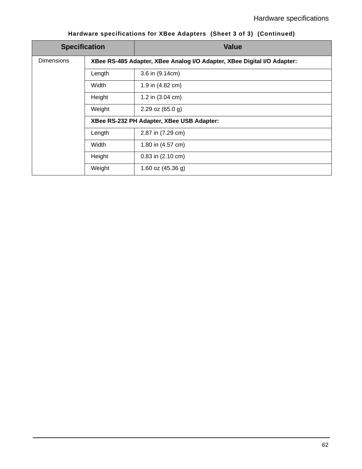| <b>Specification</b> |                                                                         | <b>Value</b>               |  |
|----------------------|-------------------------------------------------------------------------|----------------------------|--|
| <b>Dimensions</b>    | XBee RS-485 Adapter, XBee Analog I/O Adapter, XBee Digital I/O Adapter: |                            |  |
|                      | Length                                                                  | 3.6 in (9.14cm)            |  |
|                      | Width                                                                   | 1.9 in (4.82 cm)           |  |
|                      | Height                                                                  | 1.2 in $(3.04 \text{ cm})$ |  |
|                      | Weight                                                                  | 2.29 oz $(65.0 g)$         |  |
|                      | XBee RS-232 PH Adapter, XBee USB Adapter:                               |                            |  |
|                      | Length                                                                  | 2.87 in (7.29 cm)          |  |
|                      | Width                                                                   | 1.80 in (4.57 cm)          |  |
|                      | Height                                                                  | $0.83$ in $(2.10$ cm)      |  |
|                      | Weight                                                                  | 1.60 oz $(45.36 g)$        |  |

## **Hardware specifications for XBee Adapters (Sheet 3 of 3) (Continued)**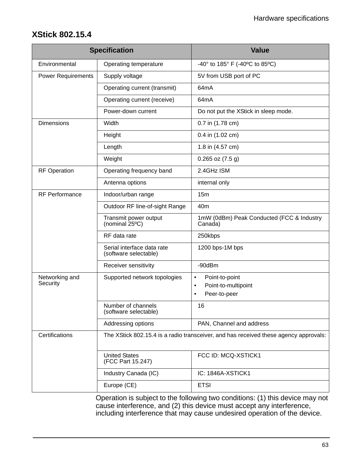## <span id="page-62-0"></span>**XStick 802.15.4**

|                            | <b>Specification</b>                                                                 | <b>Value</b>                                                  |  |
|----------------------------|--------------------------------------------------------------------------------------|---------------------------------------------------------------|--|
| Environmental              | Operating temperature                                                                | -40° to 185° F (-40°C to 85°C)                                |  |
| <b>Power Requirements</b>  | Supply voltage                                                                       | 5V from USB port of PC                                        |  |
|                            | Operating current (transmit)                                                         | 64 <sub>m</sub> A                                             |  |
|                            | Operating current (receive)                                                          | 64mA                                                          |  |
|                            | Power-down current                                                                   | Do not put the XStick in sleep mode.                          |  |
| <b>Dimensions</b>          | Width                                                                                | 0.7 in (1.78 cm)                                              |  |
|                            | Height                                                                               | 0.4 in (1.02 cm)                                              |  |
|                            | Length                                                                               | 1.8 in (4.57 cm)                                              |  |
|                            | Weight                                                                               | $0.265$ oz $(7.5 g)$                                          |  |
| <b>RF Operation</b>        | Operating frequency band                                                             | 2.4GHz ISM                                                    |  |
|                            | Antenna options                                                                      | internal only                                                 |  |
| <b>RF Performance</b>      | Indoor/urban range                                                                   | 15m                                                           |  |
|                            | Outdoor RF line-of-sight Range                                                       | 40 <sub>m</sub>                                               |  |
|                            | Transmit power output<br>(nominal $25^{\circ}$ C)                                    | 1mW (0dBm) Peak Conducted (FCC & Industry<br>Canada)          |  |
|                            | RF data rate                                                                         | 250kbps                                                       |  |
|                            | Serial interface data rate<br>(software selectable)                                  | 1200 bps-1M bps                                               |  |
|                            | Receiver sensitivity                                                                 | $-90dBr$                                                      |  |
| Networking and<br>Security | Supported network topologies                                                         | Point-to-point<br>$\bullet$                                   |  |
|                            |                                                                                      | Point-to-multipoint<br>$\bullet$<br>Peer-to-peer<br>$\bullet$ |  |
|                            | Number of channels<br>(software selectable)                                          | 16                                                            |  |
|                            | Addressing options                                                                   | PAN, Channel and address                                      |  |
| Certifications             | The XStick 802.15.4 is a radio transceiver, and has received these agency approvals: |                                                               |  |
|                            | <b>United States</b><br>(FCC Part 15.247)                                            | FCC ID: MCQ-XSTICK1                                           |  |
|                            | Industry Canada (IC)                                                                 | IC: 1846A-XSTICK1                                             |  |
|                            | Europe (CE)                                                                          | <b>ETSI</b>                                                   |  |

Operation is subject to the following two conditions: (1) this device may not cause interference, and (2) this device must accept any interference, including interference that may cause undesired operation of the device.